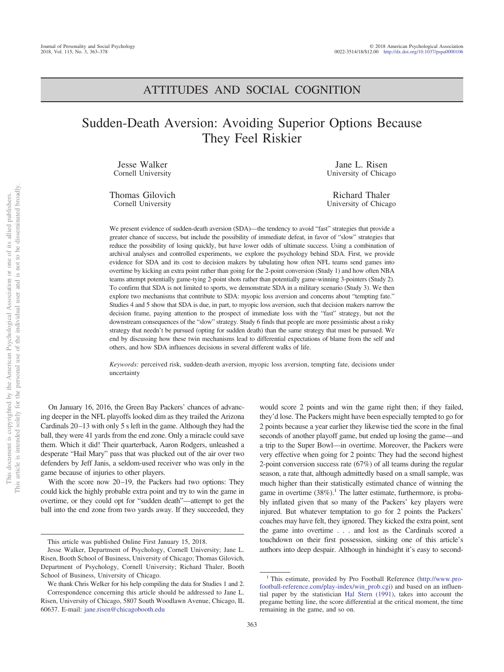## ATTITUDES AND SOCIAL COGNITION

# Sudden-Death Aversion: Avoiding Superior Options Because They Feel Riskier

Jesse Walker Cornell University

Thomas Gilovich Cornell University

Jane L. Risen University of Chicago

Richard Thaler University of Chicago

We present evidence of sudden-death aversion (SDA)—the tendency to avoid "fast" strategies that provide a greater chance of success, but include the possibility of immediate defeat, in favor of "slow" strategies that reduce the possibility of losing quickly, but have lower odds of ultimate success. Using a combination of archival analyses and controlled experiments, we explore the psychology behind SDA. First, we provide evidence for SDA and its cost to decision makers by tabulating how often NFL teams send games into overtime by kicking an extra point rather than going for the 2-point conversion (Study 1) and how often NBA teams attempt potentially game-tying 2-point shots rather than potentially game-winning 3-pointers (Study 2). To confirm that SDA is not limited to sports, we demonstrate SDA in a military scenario (Study 3). We then explore two mechanisms that contribute to SDA: myopic loss aversion and concerns about "tempting fate." Studies 4 and 5 show that SDA is due, in part, to myopic loss aversion, such that decision makers narrow the decision frame, paying attention to the prospect of immediate loss with the "fast" strategy, but not the downstream consequences of the "slow" strategy. Study 6 finds that people are more pessimistic about a risky strategy that needn't be pursued (opting for sudden death) than the same strategy that must be pursued. We end by discussing how these twin mechanisms lead to differential expectations of blame from the self and others, and how SDA influences decisions in several different walks of life.

*Keywords:* perceived risk, sudden-death aversion, myopic loss aversion, tempting fate, decisions under uncertainty

On January 16, 2016, the Green Bay Packers' chances of advancing deeper in the NFL playoffs looked dim as they trailed the Arizona Cardinals 20 –13 with only 5 s left in the game. Although they had the ball, they were 41 yards from the end zone. Only a miracle could save them. Which it did! Their quarterback, Aaron Rodgers, unleashed a desperate "Hail Mary" pass that was plucked out of the air over two defenders by Jeff Janis, a seldom-used receiver who was only in the game because of injuries to other players.

With the score now 20–19, the Packers had two options: They could kick the highly probable extra point and try to win the game in overtime, or they could opt for "sudden death"—attempt to get the ball into the end zone from two yards away. If they succeeded, they

would score 2 points and win the game right then; if they failed, they'd lose. The Packers might have been especially tempted to go for 2 points because a year earlier they likewise tied the score in the final seconds of another playoff game, but ended up losing the game—and a trip to the Super Bowl—in overtime. Moreover, the Packers were very effective when going for 2 points: They had the second highest 2-point conversion success rate (67%) of all teams during the regular season, a rate that, although admittedly based on a small sample, was much higher than their statistically estimated chance of winning the game in overtime  $(38\%)$ <sup>1</sup>. The latter estimate, furthermore, is probably inflated given that so many of the Packers' key players were injured. But whatever temptation to go for 2 points the Packers' coaches may have felt, they ignored. They kicked the extra point, sent the game into overtime . . . and lost as the Cardinals scored a touchdown on their first possession, sinking one of this article's authors into deep despair. Although in hindsight it's easy to second-

This article was published Online First January 15, 2018.

Jesse Walker, Department of Psychology, Cornell University; Jane L. Risen, Booth School of Business, University of Chicago; Thomas Gilovich, Department of Psychology, Cornell University; Richard Thaler, Booth School of Business, University of Chicago.

We thank Chris Welker for his help compiling the data for Studies 1 and 2. Correspondence concerning this article should be addressed to Jane L. Risen, University of Chicago, 5807 South Woodlawn Avenue, Chicago, IL 60637. E-mail: [jane.risen@chicagobooth.edu](mailto:jane.risen@chicagobooth.edu)

<sup>&</sup>lt;sup>1</sup> This estimate, provided by Pro Football Reference [\(http://www.pro](http://www.pro-football-reference.com/play-index/win_prob.cgi)[football-reference.com/play-index/win\\_prob.cgi\)](http://www.pro-football-reference.com/play-index/win_prob.cgi) and based on an influential paper by the statistician [Hal Stern \(1991\),](#page-14-0) takes into account the pregame betting line, the score differential at the critical moment, the time remaining in the game, and so on.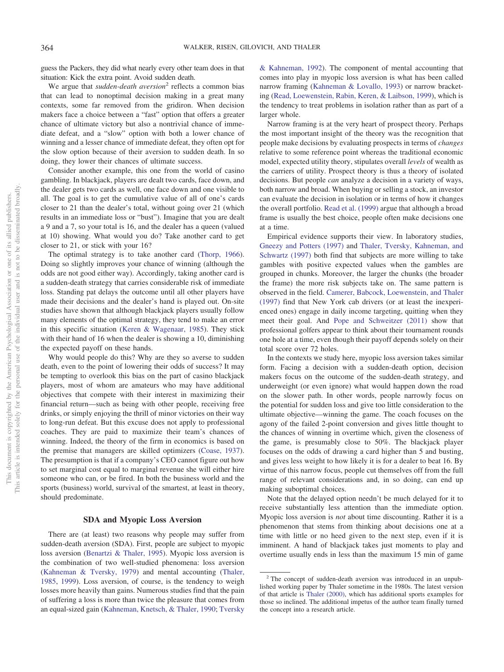guess the Packers, they did what nearly every other team does in that situation: Kick the extra point. Avoid sudden death.

We argue that *sudden-death aversion*<sup>2</sup> reflects a common bias that can lead to nonoptimal decision making in a great many contexts, some far removed from the gridiron. When decision makers face a choice between a "fast" option that offers a greater chance of ultimate victory but also a nontrivial chance of immediate defeat, and a "slow" option with both a lower chance of winning and a lesser chance of immediate defeat, they often opt for the slow option because of their aversion to sudden death. In so doing, they lower their chances of ultimate success.

Consider another example, this one from the world of casino gambling. In blackjack, players are dealt two cards, face down, and the dealer gets two cards as well, one face down and one visible to all. The goal is to get the cumulative value of all of one's cards closer to 21 than the dealer's total, without going over 21 (which results in an immediate loss or "bust"). Imagine that you are dealt a 9 and a 7, so your total is 16, and the dealer has a queen (valued at 10) showing. What would you do? Take another card to get closer to 21, or stick with your 16?

The optimal strategy is to take another card [\(Thorp, 1966\)](#page-14-1). Doing so slightly improves your chance of winning (although the odds are not good either way). Accordingly, taking another card is a sudden-death strategy that carries considerable risk of immediate loss. Standing pat delays the outcome until all other players have made their decisions and the dealer's hand is played out. On-site studies have shown that although blackjack players usually follow many elements of the optimal strategy, they tend to make an error in this specific situation [\(Keren & Wagenaar, 1985\)](#page-14-2). They stick with their hand of 16 when the dealer is showing a 10, diminishing the expected payoff on these hands.

Why would people do this? Why are they so averse to sudden death, even to the point of lowering their odds of success? It may be tempting to overlook this bias on the part of casino blackjack players, most of whom are amateurs who may have additional objectives that compete with their interest in maximizing their financial return—such as being with other people, receiving free drinks, or simply enjoying the thrill of minor victories on their way to long-run defeat. But this excuse does not apply to professional coaches. They are paid to maximize their team's chances of winning. Indeed, the theory of the firm in economics is based on the premise that managers are skilled optimizers [\(Coase, 1937\)](#page-13-0). The presumption is that if a company's CEO cannot figure out how to set marginal cost equal to marginal revenue she will either hire someone who can, or be fired. In both the business world and the sports (business) world, survival of the smartest, at least in theory, should predominate.

#### **SDA and Myopic Loss Aversion**

There are (at least) two reasons why people may suffer from sudden-death aversion (SDA). First, people are subject to myopic loss aversion [\(Benartzi & Thaler, 1995\)](#page-13-1). Myopic loss aversion is the combination of two well-studied phenomena: loss aversion [\(Kahneman & Tversky, 1979\)](#page-14-3) and mental accounting [\(Thaler,](#page-14-4) [1985,](#page-14-4) [1999\)](#page-14-5). Loss aversion, of course, is the tendency to weigh losses more heavily than gains. Numerous studies find that the pain of suffering a loss is more than twice the pleasure that comes from an equal-sized gain [\(Kahneman, Knetsch, & Thaler, 1990;](#page-13-2) [Tversky](#page-14-6)

[& Kahneman, 1992\)](#page-14-6). The component of mental accounting that comes into play in myopic loss aversion is what has been called narrow framing [\(Kahneman & Lovallo, 1993\)](#page-13-3) or narrow bracketing [\(Read, Loewenstein, Rabin, Keren, & Laibson, 1999\)](#page-14-7), which is the tendency to treat problems in isolation rather than as part of a larger whole.

Narrow framing is at the very heart of prospect theory. Perhaps the most important insight of the theory was the recognition that people make decisions by evaluating prospects in terms of *changes* relative to some reference point whereas the traditional economic model, expected utility theory, stipulates overall *levels* of wealth as the carriers of utility. Prospect theory is thus a theory of isolated decisions. But people *can* analyze a decision in a variety of ways, both narrow and broad. When buying or selling a stock, an investor can evaluate the decision in isolation or in terms of how it changes the overall portfolio. [Read et al. \(1999\)](#page-14-7) argue that although a broad frame is usually the best choice, people often make decisions one at a time.

Empirical evidence supports their view. In laboratory studies, [Gneezy and Potters \(1997\)](#page-13-4) and [Thaler, Tversky, Kahneman, and](#page-14-8) [Schwartz \(1997\)](#page-14-8) both find that subjects are more willing to take gambles with positive expected values when the gambles are grouped in chunks. Moreover, the larger the chunks (the broader the frame) the more risk subjects take on. The same pattern is observed in the field. [Camerer, Babcock, Loewenstein, and Thaler](#page-13-5) [\(1997\)](#page-13-5) find that New York cab drivers (or at least the inexperienced ones) engage in daily income targeting, quitting when they meet their goal. And [Pope and Schweitzer \(2011\)](#page-14-9) show that professional golfers appear to think about their tournament rounds one hole at a time, even though their payoff depends solely on their total score over 72 holes.

In the contexts we study here, myopic loss aversion takes similar form. Facing a decision with a sudden-death option, decision makers focus on the outcome of the sudden-death strategy, and underweight (or even ignore) what would happen down the road on the slower path. In other words, people narrowly focus on the potential for sudden loss and give too little consideration to the ultimate objective—winning the game. The coach focuses on the agony of the failed 2-point conversion and gives little thought to the chances of winning in overtime which, given the closeness of the game, is presumably close to 50%. The blackjack player focuses on the odds of drawing a card higher than 5 and busting, and gives less weight to how likely it is for a dealer to beat 16. By virtue of this narrow focus, people cut themselves off from the full range of relevant considerations and, in so doing, can end up making suboptimal choices.

Note that the delayed option needn't be much delayed for it to receive substantially less attention than the immediate option. Myopic loss aversion is *not* about time discounting. Rather it is a phenomenon that stems from thinking about decisions one at a time with little or no heed given to the next step, even if it is imminent. A hand of blackjack takes just moments to play and overtime usually ends in less than the maximum 15 min of game

<sup>&</sup>lt;sup>2</sup> The concept of sudden-death aversion was introduced in an unpublished working paper by Thaler sometime in the 1980s. The latest version of that article is [Thaler \(2000\),](#page-14-10) which has additional sports examples for those so inclined. The additional impetus of the author team finally turned the concept into a research article.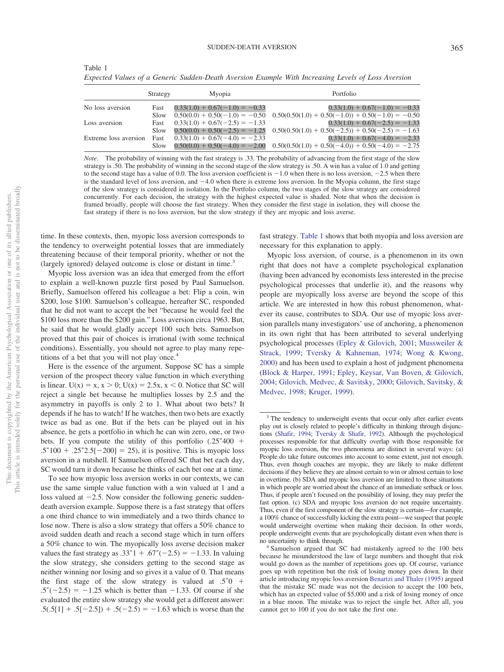<span id="page-2-0"></span>

| Table 1                                                                                            |  |  |
|----------------------------------------------------------------------------------------------------|--|--|
| Expected Values of a Generic Sudden-Death Aversion Example With Increasing Levels of Loss Aversion |  |  |

|                       | Strategy | Myopia                           | Portfolio                                                                            |
|-----------------------|----------|----------------------------------|--------------------------------------------------------------------------------------|
| No loss aversion      | Fast     | $0.33(1.0) + 0.67(-1.0) = -0.33$ | $0.33(1.0) + 0.67(-1.0) = -0.33$                                                     |
|                       | Slow     |                                  | $0.50(0.0) + 0.50(-1.0) = -0.50$ $0.50(0.50(1.0) + 0.50(-1.0)) + 0.50(-1.0) = -0.50$ |
| Loss aversion         | Fast     | $0.33(1.0) + 0.67(-2.5) = -1.33$ | $0.33(1.0) + 0.67(-2.5) = -1.33$                                                     |
|                       | Slow     |                                  | $0.50(0.0) + 0.50(-2.5) = -1.25$ $0.50(0.50(1.0) + 0.50(-2.5)) + 0.50(-2.5) = -1.63$ |
| Extreme loss aversion | Fast     | $0.33(1.0) + 0.67(-4.0) = -2.33$ | $0.33(1.0) + 0.67(-4.0) = -2.33$                                                     |
|                       | Slow     |                                  | $0.50(0.0) + 0.50(-4.0) = -2.00$ $0.50(0.50(1.0) + 0.50(-4.0)) + 0.50(-4.0) = -2.75$ |

*Note*. The probability of winning with the fast strategy is .33. The probability of advancing from the first stage of the slow strategy is .50. The probability of winning in the second stage of the slow strategy is .50. A win has a value of 1.0 and getting to the second stage has a value of 0.0. The loss aversion coefficient is  $-1.0$  when there is no loss aversion,  $-2.5$  when there is the standard level of loss aversion, and  $-4.0$  when there is extreme loss aversion. In the Myopia column, the first stage of the slow strategy is considered in isolation. In the Portfolio column, the two stages of the slow strategy are considered concurrently. For each decision, the strategy with the highest expected value is shaded. Note that when the decision is framed broadly, people will choose the fast strategy. When they consider the first stage in isolation, they will choose the fast strategy if there is no loss aversion, but the slow strategy if they are myopic and loss averse.

time. In these contexts, then, myopic loss aversion corresponds to the tendency to overweight potential losses that are immediately threatening because of their temporal priority, whether or not the (largely ignored) delayed outcome is close or distant in time.<sup>3</sup>

Myopic loss aversion was an idea that emerged from the effort to explain a well-known puzzle first posed by Paul Samuelson. Briefly, Samuelson offered his colleague a bet: Flip a coin, win \$200, lose \$100. Samuelson's colleague, hereafter SC, responded that he did not want to accept the bet "because he would feel the \$100 loss more than the \$200 gain." Loss aversion circa 1963. But, he said that he would gladly accept 100 such bets. Samuelson proved that this pair of choices is irrational (with some technical conditions). Essentially, you should not agree to play many repetitions of a bet that you will not play once.<sup>4</sup>

Here is the essence of the argument. Suppose SC has a simple version of the prospect theory value function in which everything is linear.  $U(x) = x, x > 0$ ;  $U(x) = 2.5x, x < 0$ . Notice that SC will reject a single bet because he multiplies losses by 2.5 and the asymmetry in payoffs is only 2 to 1. What about two bets? It depends if he has to watch! If he watches, then two bets are exactly twice as bad as one. But if the bets can be played out in his absence, he gets a portfolio in which he can win zero, one, or two bets. If you compute the utility of this portfolio  $(.25^*400 +$  $.5*100 + .25*2.5[-200] = 25$ , it is positive. This is myopic loss aversion in a nutshell. If Samuelson offered SC that bet each day, SC would turn it down because he thinks of each bet one at a time.

To see how myopic loss aversion works in our contexts, we can use the same simple value function with a win valued at 1 and a loss valued at  $-2.5$ . Now consider the following generic suddendeath aversion example. Suppose there is a fast strategy that offers a one third chance to win immediately and a two thirds chance to lose now. There is also a slow strategy that offers a 50% chance to avoid sudden death and reach a second stage which in turn offers a 50% chance to win. The myopically loss averse decision maker values the fast strategy as  $.33^{*}1 + .67^{*}(-2.5) = -1.33$ . In valuing the slow strategy, she considers getting to the second stage as neither winning nor losing and so gives it a value of 0. That means the first stage of the slow strategy is valued at  $.5^*0 +$  $.5^*(-2.5) = -1.25$  which is better than  $-1.33$ . Of course if she evaluated the entire slow strategy she would get a different answer:  $.5(.5[1] + .5[-2.5]) + .5(-2.5) = -1.63$  which is worse than the

fast strategy. [Table 1](#page-2-0) shows that both myopia and loss aversion are necessary for this explanation to apply.

Myopic loss aversion, of course, is a phenomenon in its own right that does not have a complete psychological explanation (having been advanced by economists less interested in the precise psychological processes that underlie it), and the reasons why people are myopically loss averse are beyond the scope of this article. We are interested in how this robust phenomenon, whatever its cause, contributes to SDA. Our use of myopic loss aversion parallels many investigators' use of anchoring, a phenomenon in its own right that has been attributed to several underlying psychological processes [\(Epley & Gilovich, 2001;](#page-13-6) [Mussweiler &](#page-14-11) [Strack, 1999;](#page-14-11) [Tversky & Kahneman, 1974;](#page-14-12) [Wong & Kwong,](#page-14-13) [2000\)](#page-14-13) and has been used to explain a host of judgment phenomena [\(Block & Harper, 1991;](#page-13-7) [Epley, Keysar, Van Boven, & Gilovich,](#page-13-8) [2004;](#page-13-8) [Gilovich, Medvec, & Savitsky, 2000;](#page-13-9) [Gilovich, Savitsky, &](#page-13-10) [Medvec, 1998;](#page-13-10) [Kruger, 1999\)](#page-14-14).

<sup>&</sup>lt;sup>3</sup> The tendency to underweight events that occur only after earlier events play out is closely related to people's difficulty in thinking through disjunctions [\(Shafir, 1994;](#page-14-15) [Tversky & Shafir, 1992\)](#page-14-16). Although the psychological processes responsible for that difficulty overlap with those responsible for myopic loss aversion, the two phenomena are distinct in several ways: (a) People do take future outcomes into account to some extent, just not enough. Thus, even though coaches are myopic, they are likely to make different decisions if they believe they are almost certain to win or almost certain to lose in overtime. (b) SDA and myopic loss aversion are limited to those situations in which people are worried about the chance of an immediate setback or loss. Thus, if people aren't focused on the possibility of losing, they may prefer the fast option. (c) SDA and myopic loss aversion do not require uncertainty. Thus, even if the first component of the slow strategy is certain—for example, a 100% chance of successfully kicking the extra point—we suspect that people would underweight overtime when making their decision. In other words, people underweight events that are psychologically distant even when there is

no uncertainty to think through. <sup>4</sup> Samuelson argued that SC had mistakenly agreed to the 100 bets because he misunderstood the law of large numbers and thought that risk would go down as the number of repetitions goes up. Of course, variance goes up with repetition but the risk of losing money goes down. In their article introducing myopic loss aversion [Benartzi and Thaler \(1995\)](#page-13-1) argued that the mistake SC made was not the decision to accept the 100 bets, which has an expected value of \$5,000 and a risk of losing money of once in a blue moon. The mistake was to reject the single bet. After all, you cannot get to 100 if you do not take the first one.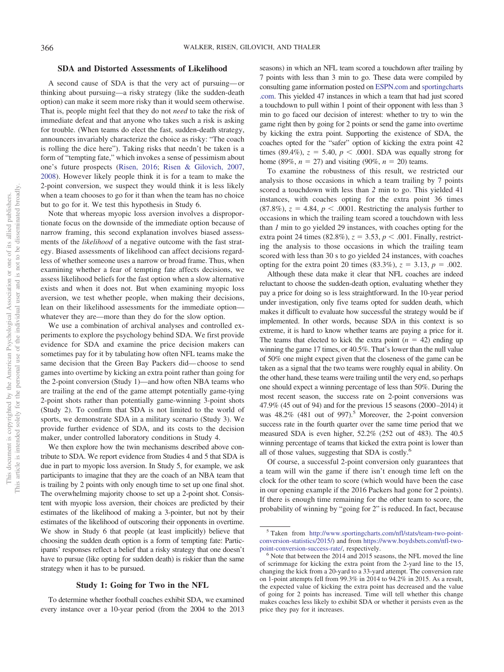## **SDA and Distorted Assessments of Likelihood**

A second cause of SDA is that the very act of pursuing— or thinking about pursuing—a risky strategy (like the sudden-death option) can make it seem more risky than it would seem otherwise. That is, people might feel that they do not *need* to take the risk of immediate defeat and that anyone who takes such a risk is asking for trouble. (When teams do elect the fast, sudden-death strategy, announcers invariably characterize the choice as risky: "The coach is rolling the dice here"). Taking risks that needn't be taken is a form of "tempting fate," which invokes a sense of pessimism about one's future prospects [\(Risen, 2016;](#page-14-17) [Risen & Gilovich, 2007,](#page-14-18) [2008\)](#page-14-19). However likely people think it is for a team to make the 2-point conversion, we suspect they would think it is less likely when a team chooses to go for it than when the team has no choice but to go for it. We test this hypothesis in Study 6.

Note that whereas myopic loss aversion involves a disproportionate focus on the downside of the immediate option because of narrow framing, this second explanation involves biased assessments of the *likelihood* of a negative outcome with the fast strategy. Biased assessments of likelihood can affect decisions regardless of whether someone uses a narrow or broad frame. Thus, when examining whether a fear of tempting fate affects decisions, we assess likelihood beliefs for the fast option when a slow alternative exists and when it does not. But when examining myopic loss aversion, we test whether people, when making their decisions, lean on their likelihood assessments for the immediate option whatever they are—more than they do for the slow option.

We use a combination of archival analyses and controlled experiments to explore the psychology behind SDA. We first provide evidence for SDA and examine the price decision makers can sometimes pay for it by tabulating how often NFL teams make the same decision that the Green Bay Packers did— choose to send games into overtime by kicking an extra point rather than going for the 2-point conversion (Study 1)—and how often NBA teams who are trailing at the end of the game attempt potentially game-tying 2-point shots rather than potentially game-winning 3-point shots (Study 2). To confirm that SDA is not limited to the world of sports, we demonstrate SDA in a military scenario (Study 3). We provide further evidence of SDA, and its costs to the decision maker, under controlled laboratory conditions in Study 4.

We then explore how the twin mechanisms described above contribute to SDA. We report evidence from Studies 4 and 5 that SDA is due in part to myopic loss aversion. In Study 5, for example, we ask participants to imagine that they are the coach of an NBA team that is trailing by 2 points with only enough time to set up one final shot. The overwhelming majority choose to set up a 2-point shot. Consistent with myopic loss aversion, their choices are predicted by their estimates of the likelihood of making a 3-pointer, but not by their estimates of the likelihood of outscoring their opponents in overtime. We show in Study 6 that people (at least implicitly) believe that choosing the sudden death option is a form of tempting fate: Participants' responses reflect a belief that a risky strategy that one doesn't have to pursue (like opting for sudden death) is riskier than the same strategy when it has to be pursued.

## **Study 1: Going for Two in the NFL**

To determine whether football coaches exhibit SDA, we examined every instance over a 10-year period (from the 2004 to the 2013

seasons) in which an NFL team scored a touchdown after trailing by 7 points with less than 3 min to go. These data were compiled by consulting game information posted on [ESPN.com](http://ESPN.com) and [sportingcharts](http://sportingcharts.com) [.com.](http://sportingcharts.com) This yielded 47 instances in which a team that had just scored a touchdown to pull within 1 point of their opponent with less than 3 min to go faced our decision of interest: whether to try to win the game right then by going for 2 points or send the game into overtime by kicking the extra point. Supporting the existence of SDA, the coaches opted for the "safer" option of kicking the extra point 42 times (89.4%),  $z = 5.40$ ,  $p < .0001$ . SDA was equally strong for home (89%,  $n = 27$ ) and visiting (90%,  $n = 20$ ) teams.

To examine the robustness of this result, we restricted our analysis to those occasions in which a team trailing by 7 points scored a touchdown with less than *2* min to go. This yielded 41 instances, with coaches opting for the extra point 36 times  $(87.8\%)$ ,  $z = 4.84$ ,  $p < .0001$ . Restricting the analysis further to occasions in which the trailing team scored a touchdown with less than *1* min to go yielded 29 instances, with coaches opting for the extra point 24 times  $(82.8\%)$ ,  $z = 3.53$ ,  $p < .001$ . Finally, restricting the analysis to those occasions in which the trailing team scored with less than 30 s to go yielded 24 instances, with coaches opting for the extra point 20 times  $(83.3\%)$ ,  $z = 3.13$ ,  $p = .002$ .

Although these data make it clear that NFL coaches are indeed reluctant to choose the sudden-death option, evaluating whether they pay a price for doing so is less straightforward. In the 10-year period under investigation, only five teams opted for sudden death, which makes it difficult to evaluate how successful the strategy would be if implemented. In other words, because SDA in this context is so extreme, it is hard to know whether teams are paying a price for it. The teams that elected to kick the extra point  $(n = 42)$  ending up winning the game 17 times, or 40.5%. That's lower than the null value of 50% one might expect given that the closeness of the game can be taken as a signal that the two teams were roughly equal in ability. On the other hand, these teams were trailing until the very end, so perhaps one should expect a winning percentage of less than 50%. During the most recent season, the success rate on 2-point conversions was 47.9% (45 out of 94) and for the previous 15 seasons (2000 –2014) it was 48.2% (481 out of 997).<sup>5</sup> Moreover, the 2-point conversion success rate in the fourth quarter over the same time period that we measured SDA is even higher, 52.2% (252 out of 483). The 40.5 winning percentage of teams that kicked the extra point is lower than all of those values, suggesting that SDA is costly.6

Of course, a successful 2-point conversion only guarantees that a team will win the game if there isn't enough time left on the clock for the other team to score (which would have been the case in our opening example if the 2016 Packers had gone for 2 points). If there is enough time remaining for the other team to score, the probability of winning by "going for 2" is reduced. In fact, because

<sup>5</sup> Taken from [http://www.sportingcharts.com/nfl/stats/team-two-point](http://www.sportingcharts.com/nfl/stats/team-two-point-conversion-statistics/2015/)[conversion-statistics/2015/\)](http://www.sportingcharts.com/nfl/stats/team-two-point-conversion-statistics/2015/) and from [https://www.boydsbets.com/nfl-two](https://www.boydsbets.com/nfl-two-point-conversion-success-rate/)[point-conversion-success-rate/,](https://www.boydsbets.com/nfl-two-point-conversion-success-rate/) respectively.<br><sup>6</sup> Note that between the 2014 and 2015 seasons, the NFL moved the line

of scrimmage for kicking the extra point from the 2-yard line to the 15, changing the kick from a 20-yard to a 33-yard attempt. The conversion rate on 1-point attempts fell from 99.3% in 2014 to 94.2% in 2015. As a result, the expected value of kicking the extra point has decreased and the value of going for 2 points has increased. Time will tell whether this change makes coaches less likely to exhibit SDA or whether it persists even as the price they pay for it increases.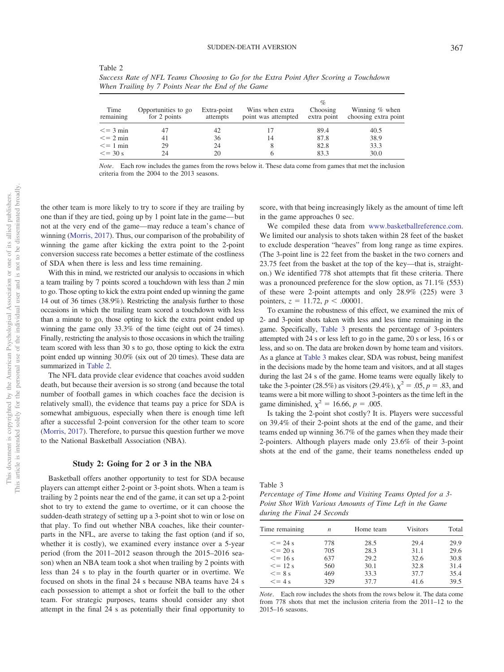| Success Rate of NFL Teams Choosing to Go for the Extra Point After Scoring a Touchdown<br>When Trailing by 7 Points Near the End of the Game |                                 |  |                  |                                        |                                         |  |  |
|----------------------------------------------------------------------------------------------------------------------------------------------|---------------------------------|--|------------------|----------------------------------------|-----------------------------------------|--|--|
| $T_{max}$                                                                                                                                    | Opportunities to go Extra point |  | Wine ruben orteo | $\mathcal{O}_{\mathcal{O}}$<br>Chacina | $W_{\text{in}}$ in $\sim$ $\theta$ when |  |  |

|                   |                                     |                         |                                        | $\mathcal{O}_{\mathcal{C}}$ |                                          |
|-------------------|-------------------------------------|-------------------------|----------------------------------------|-----------------------------|------------------------------------------|
| Time<br>remaining | Opportunities to go<br>for 2 points | Extra-point<br>attempts | Wins when extra<br>point was attempted | Choosing<br>extra point     | Winning $%$ when<br>choosing extra point |
| $\leq$ = 3 min    |                                     | 42                      |                                        | 89.4                        | 40.5                                     |
| $\leq$ = 2 min    | 41                                  | 36                      | 14                                     | 87.8                        | 38.9                                     |
| $\leq$ = 1 min    | 29                                  | 24                      | 8                                      | 82.8                        | 33.3                                     |
| $\leq$ = 30 s     | 24                                  | 20                      |                                        | 83.3                        | 30.0                                     |

*Note*. Each row includes the games from the rows below it. These data come from games that met the inclusion criteria from the 2004 to the 2013 seasons.

the other team is more likely to try to score if they are trailing by one than if they are tied, going up by 1 point late in the game— but not at the very end of the game—may reduce a team's chance of winning [\(Morris, 2017\)](#page-14-20). Thus, our comparison of the probability of winning the game after kicking the extra point to the 2-point conversion success rate becomes a better estimate of the costliness of SDA when there is less and less time remaining.

<span id="page-4-0"></span>Table 2

With this in mind, we restricted our analysis to occasions in which a team trailing by 7 points scored a touchdown with less than *2* min to go. Those opting to kick the extra point ended up winning the game 14 out of 36 times (38.9%). Restricting the analysis further to those occasions in which the trailing team scored a touchdown with less than a minute to go, those opting to kick the extra point ended up winning the game only 33.3% of the time (eight out of 24 times). Finally, restricting the analysis to those occasions in which the trailing team scored with less than 30 s to go, those opting to kick the extra point ended up winning 30.0% (six out of 20 times). These data are summarized in [Table 2.](#page-4-0)

The NFL data provide clear evidence that coaches avoid sudden death, but because their aversion is so strong (and because the total number of football games in which coaches face the decision is relatively small), the evidence that teams pay a price for SDA is somewhat ambiguous, especially when there is enough time left after a successful 2-point conversion for the other team to score [\(Morris, 2017\)](#page-14-20). Therefore, to pursue this question further we move to the National Basketball Association (NBA).

## **Study 2: Going for 2 or 3 in the NBA**

Basketball offers another opportunity to test for SDA because players can attempt either 2-point or 3-point shots. When a team is trailing by 2 points near the end of the game, it can set up a 2-point shot to try to extend the game to overtime, or it can choose the sudden-death strategy of setting up a 3-point shot to win or lose on that play. To find out whether NBA coaches, like their counterparts in the NFL, are averse to taking the fast option (and if so, whether it is costly), we examined every instance over a 5-year period (from the 2011–2012 season through the 2015–2016 season) when an NBA team took a shot when trailing by 2 points with less than 24 s to play in the fourth quarter or in overtime. We focused on shots in the final 24 s because NBA teams have 24 s each possession to attempt a shot or forfeit the ball to the other team. For strategic purposes, teams should consider any shot attempt in the final 24 s as potentially their final opportunity to

score, with that being increasingly likely as the amount of time left in the game approaches 0 sec.

We compiled these data from [www.basketballreference.com.](http://www.basketballreference.com) We limited our analysis to shots taken within 28 feet of the basket to exclude desperation "heaves" from long range as time expires. (The 3-point line is 22 feet from the basket in the two corners and 23.75 feet from the basket at the top of the key—that is, straighton.) We identified 778 shot attempts that fit these criteria. There was a pronounced preference for the slow option, as 71.1% (553) of these were 2-point attempts and only 28.9% (225) were 3 pointers,  $z = 11.72$ ,  $p < .00001$ .

To examine the robustness of this effect, we examined the mix of 2- and 3-point shots taken with less and less time remaining in the game. Specifically, [Table 3](#page-4-1) presents the percentage of 3-pointers attempted with 24 s or less left to go in the game, 20 s or less, 16 s or less, and so on. The data are broken down by home team and visitors. As a glance at [Table 3](#page-4-1) makes clear, SDA was robust, being manifest in the decisions made by the home team and visitors, and at all stages during the last 24 s of the game. Home teams were equally likely to take the 3-pointer (28.5%) as visitors (29.4%),  $\chi^2 = .05$ ,  $p = .83$ , and teams were a bit more willing to shoot 3-pointers as the time left in the game diminished,  $\chi^2 = 16.66, p = .005$ .

Is taking the 2-point shot costly? It is. Players were successful on 39.4% of their 2-point shots at the end of the game, and their teams ended up winning 36.7% of the games when they made their 2-pointers. Although players made only 23.6% of their 3-point shots at the end of the game, their teams nonetheless ended up

<span id="page-4-1"></span>Table 3

*Percentage of Time Home and Visiting Teams Opted for a 3- Point Shot With Various Amounts of Time Left in the Game during the Final 24 Seconds*

| Time remaining | n   | Home team | <b>Visitors</b> | Total |
|----------------|-----|-----------|-----------------|-------|
| $\leq$ = 24 s  | 778 | 28.5      | 29.4            | 29.9  |
| $\leq$ = 20 s  | 705 | 28.3      | 31.1            | 29.6  |
| $\leq$ = 16 s  | 637 | 29.2      | 32.6            | 30.8  |
| $\leq$ = 12 s  | 560 | 30.1      | 32.8            | 31.4  |
| $\leq$ = 8 s   | 469 | 33.3      | 37.7            | 35.4  |
| $\leq$ = 4 s   | 329 | 37.7      | 41.6            | 39.5  |

*Note*. Each row includes the shots from the rows below it. The data come from 778 shots that met the inclusion criteria from the 2011–12 to the 2015–16 seasons.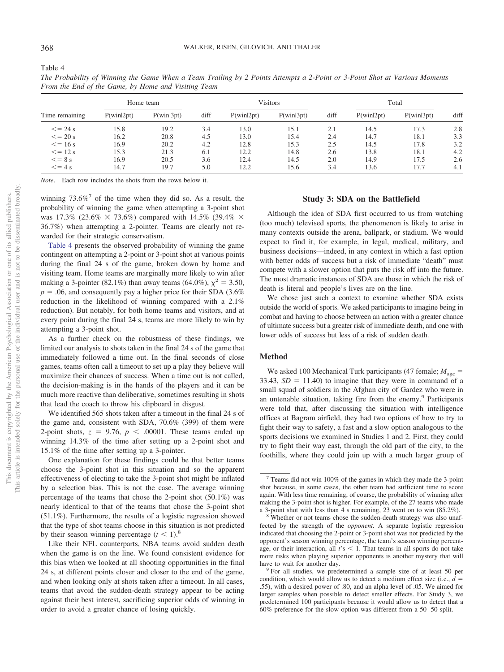$= 16 \text{ s}$  16.9 20.2 4.2 12.8 15.3 2.5 14.5 17.8 3.2

 $= 12 \text{ s}$  15.3 21.3 6.1 12.2 14.8 2.6 13.8 18.1 4.2

 $= 8 \text{ s}$  16.9 20.5 3.6 12.4 14.5 2.0 14.9 17.5 2.6

 $= 4 \text{ s}$  14.7 19.7 5.0 12.2 15.6 3.4 13.6 17.7 4.1

| From the End of the Game, by Home and Visiting Team |              |              |            |                    |              |            |              |              |            |
|-----------------------------------------------------|--------------|--------------|------------|--------------------|--------------|------------|--------------|--------------|------------|
|                                                     |              | Home team    |            | Visitors<br>Total  |              |            |              |              |            |
| Time remaining                                      | P(win 2pt)   | P(win 3pt)   | diff       | $P(\text{win2pt})$ | P(winl3pt)   | diff       | P(win 2pt)   | P(win 3pt)   | diff       |
| $\leq$ = 24 s<br>$\leq$ = 20 s                      | 15.8<br>16.2 | 19.2<br>20.8 | 3.4<br>4.5 | 13.0<br>13.0       | 15.1<br>15.4 | 2.1<br>2.4 | 14.5<br>14.7 | 17.3<br>18.1 | 2.8<br>3.3 |

*The Probability of Winning the Game When a Team Trailing by 2 Points Attempts a 2-Point or 3-Point Shot at Various Moments*

*Note*. Each row includes the shots from the rows below it.

winning  $73.6\%$ <sup>7</sup> of the time when they did so. As a result, the probability of winning the game when attempting a 3-point shot was 17.3% (23.6%  $\times$  73.6%) compared with 14.5% (39.4%  $\times$ 36.7%) when attempting a 2-pointer. Teams are clearly not rewarded for their strategic conservatism.

[Table 4](#page-5-0) presents the observed probability of winning the game contingent on attempting a 2-point or 3-point shot at various points during the final 24 s of the game, broken down by home and visiting team. Home teams are marginally more likely to win after making a 3-pointer (82.1%) than away teams (64.0%),  $\chi^2 = 3.50$ ,  $p = 0.06$ , and consequently pay a higher price for their SDA  $(3.6\%$ reduction in the likelihood of winning compared with a 2.1% reduction). But notably, for both home teams and visitors, and at every point during the final 24 s, teams are more likely to win by attempting a 3-point shot.

As a further check on the robustness of these findings, we limited our analysis to shots taken in the final 24 s of the game that immediately followed a time out. In the final seconds of close games, teams often call a timeout to set up a play they believe will maximize their chances of success. When a time out is not called, the decision-making is in the hands of the players and it can be much more reactive than deliberative, sometimes resulting in shots that lead the coach to throw his clipboard in disgust.

We identified 565 shots taken after a timeout in the final 24 s of the game and, consistent with SDA, 70.6% (399) of them were 2-point shots,  $z = 9.76$ ,  $p < .00001$ . These teams ended up winning 14.3% of the time after setting up a 2-point shot and 15.1% of the time after setting up a 3-pointer.

One explanation for these findings could be that better teams choose the 3-point shot in this situation and so the apparent effectiveness of electing to take the 3-point shot might be inflated by a selection bias. This is not the case. The average winning percentage of the teams that chose the 2-point shot  $(50.1\%)$  was nearly identical to that of the teams that chose the 3-point shot (51.1%). Furthermore, the results of a logistic regression showed that the type of shot teams choose in this situation is not predicted by their season winning percentage  $(t < 1)$ .<sup>8</sup>

Like their NFL counterparts, NBA teams avoid sudden death when the game is on the line. We found consistent evidence for this bias when we looked at all shooting opportunities in the final 24 s, at different points closer and closer to the end of the game, and when looking only at shots taken after a timeout. In all cases, teams that avoid the sudden-death strategy appear to be acting against their best interest, sacrificing superior odds of winning in order to avoid a greater chance of losing quickly.

## **Study 3: SDA on the Battlefield**

Although the idea of SDA first occurred to us from watching (too much) televised sports, the phenomenon is likely to arise in many contexts outside the arena, ballpark, or stadium. We would expect to find it, for example, in legal, medical, military, and business decisions—indeed, in any context in which a fast option with better odds of success but a risk of immediate "death" must compete with a slower option that puts the risk off into the future. The most dramatic instances of SDA are those in which the risk of death is literal and people's lives are on the line.

We chose just such a context to examine whether SDA exists outside the world of sports. We asked participants to imagine being in combat and having to choose between an action with a greater chance of ultimate success but a greater risk of immediate death, and one with lower odds of success but less of a risk of sudden death.

#### **Method**

We asked 100 Mechanical Turk participants (47 female;  $M_{\text{age}} =$  $33.43, SD = 11.40$  to imagine that they were in command of a small squad of soldiers in the Afghan city of Gardez who were in an untenable situation, taking fire from the enemy.<sup>9</sup> Participants were told that, after discussing the situation with intelligence offices at Bagram airfield, they had two options of how to try to fight their way to safety, a fast and a slow option analogous to the sports decisions we examined in Studies 1 and 2. First, they could try to fight their way east, through the old part of the city, to the foothills, where they could join up with a much larger group of

<span id="page-5-0"></span>Table 4

 $\leq$  = 16 s

 $\leq$  = 12 s

 $\leq$  = 8 s

 $<=$  4 s

<sup>7</sup> Teams did not win 100% of the games in which they made the 3-point shot because, in some cases, the other team had sufficient time to score again. With less time remaining, of course, the probability of winning after making the 3-point shot is higher. For example, of the 27 teams who made

a 3-point shot with less than 4 s remaining, 23 went on to win (85.2%).<br><sup>8</sup> Whether or not teams chose the sudden-death strategy was also unaffected by the strength of the *opponent.* A separate logistic regression indicated that choosing the 2-point or 3-point shot was not predicted by the opponent's season winning percentage, the team's season winning percentage, or their interaction, all  $t's < 1$ . That teams in all sports do not take more risks when playing superior opponents is another mystery that will have to wait for another day.<br><sup>9</sup> For all studies, we predetermined a sample size of at least 50 per

condition, which would allow us to detect a medium effect size (i.e.,  $d =$ .55), with a desired power of .80, and an alpha level of .05. We aimed for larger samples when possible to detect smaller effects. For Study 3, we predetermined 100 participants because it would allow us to detect that a 60% preference for the slow option was different from a 50 –50 split.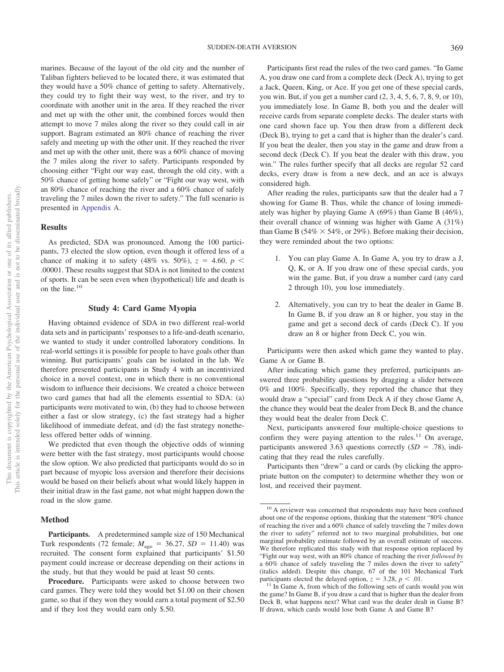marines. Because of the layout of the old city and the number of Taliban fighters believed to be located there, it was estimated that they would have a 50% chance of getting to safety. Alternatively, they could try to fight their way west, to the river, and try to coordinate with another unit in the area. If they reached the river and met up with the other unit, the combined forces would then attempt to move 7 miles along the river so they could call in air support. Bagram estimated an 80% chance of reaching the river safely and meeting up with the other unit. If they reached the river and met up with the other unit, there was a 60% chance of moving the 7 miles along the river to safety. Participants responded by choosing either "Fight our way east, through the old city, with a 50% chance of getting home safely" or "Fight our way west, with an 80% chance of reaching the river and a 60% chance of safely traveling the 7 miles down the river to safety." The full scenario is presented in [Appendix A.](#page-15-0)

## **Results**

As predicted, SDA was pronounced. Among the 100 participants, 73 elected the slow option, even though it offered less of a chance of making it to safety (48% vs. 50%),  $z = 4.60, p <$ .00001. These results suggest that SDA is not limited to the context of sports. It can be seen even when (hypothetical) life and death is on the line.10

## **Study 4: Card Game Myopia**

Having obtained evidence of SDA in two different real-world data sets and in participants' responses to a life-and-death scenario, we wanted to study it under controlled laboratory conditions. In real-world settings it is possible for people to have goals other than winning. But participants' goals can be isolated in the lab. We therefore presented participants in Study 4 with an incentivized choice in a novel context, one in which there is no conventional wisdom to influence their decisions. We created a choice between two card games that had all the elements essential to SDA: (a) participants were motivated to win, (b) they had to choose between either a fast or slow strategy, (c) the fast strategy had a higher likelihood of immediate defeat, and (d) the fast strategy nonetheless offered better odds of winning.

We predicted that even though the objective odds of winning were better with the fast strategy, most participants would choose the slow option. We also predicted that participants would do so in part because of myopic loss aversion and therefore their decisions would be based on their beliefs about what would likely happen in their initial draw in the fast game, not what might happen down the road in the slow game.

## **Method**

**Participants.** A predetermined sample size of 150 Mechanical Turk respondents (72 female;  $M_{\text{age}} = 36.27$ ,  $SD = 11.40$ ) was recruited. The consent form explained that participants' \$1.50 payment could increase or decrease depending on their actions in the study, but that they would be paid at least 50 cents.

Participants first read the rules of the two card games. "In Game A, you draw one card from a complete deck (Deck A), trying to get a Jack, Queen, King, or Ace. If you get one of these special cards, you win. But, if you get a number card (2, 3, 4, 5, 6, 7, 8, 9, or 10), you immediately lose. In Game B, both you and the dealer will receive cards from separate complete decks. The dealer starts with one card shown face up. You then draw from a different deck (Deck B), trying to get a card that is higher than the dealer's card. If you beat the dealer, then you stay in the game and draw from a second deck (Deck C). If you beat the dealer with this draw, you win." The rules further specify that all decks are regular 52 card decks, every draw is from a new deck, and an ace is always considered high.

After reading the rules, participants saw that the dealer had a 7 showing for Game B. Thus, while the chance of losing immediately was higher by playing Game A (69%) than Game B (46%), their overall chance of winning was higher with Game A (31%) than Game B (54%  $\times$  54%, or 29%). Before making their decision, they were reminded about the two options:

- 1. You can play Game A. In Game A, you try to draw a J, Q, K, or A. If you draw one of these special cards, you win the game. But, if you draw a number card (any card 2 through 10), you lose immediately.
- 2. Alternatively, you can try to beat the dealer in Game B. In Game B, if you draw an 8 or higher, you stay in the game and get a second deck of cards (Deck C). If you draw an 8 or higher from Deck C, you win.

Participants were then asked which game they wanted to play, Game A or Game B.

After indicating which game they preferred, participants answered three probability questions by dragging a slider between 0% and 100%. Specifically, they reported the chance that they would draw a "special" card from Deck A if they chose Game A, the chance they would beat the dealer from Deck B, and the chance they would beat the dealer from Deck C.

Next, participants answered four multiple-choice questions to confirm they were paying attention to the rules. $11$  On average, participants answered 3.63 questions correctly  $(SD = .78)$ , indicating that they read the rules carefully.

Participants then "drew" a card or cards (by clicking the appropriate button on the computer) to determine whether they won or lost, and received their payment.

**Procedure.** Participants were asked to choose between two card games. They were told they would bet \$1.00 on their chosen game, so that if they won they would earn a total payment of \$2.50 and if they lost they would earn only \$.50.

<sup>&</sup>lt;sup>10</sup> A reviewer was concerned that respondents may have been confused about one of the response options, thinking that the statement "80% chance of reaching the river and a 60% chance of safely traveling the 7 miles down the river to safety" referred not to two marginal probabilities, but one marginal probability estimate followed by an overall estimate of success. We therefore replicated this study with that response option replaced by "Fight our way west, with an 80% chance of reaching the river *followed by* a 60% chance of safely traveling the 7 miles down the river to safety" (italics added). Despite this change, 67 of the 101 Mechanical Turk participants elected the delayed option,  $z = 3.28$ ,  $p < .01$ .

<sup>&</sup>lt;sup>11</sup> In Game A, from which of the following sets of cards would you win the game? In Game B, if you draw a card that is higher than the dealer from Deck B, what happens next? What card was the dealer dealt in Game B? If drawn, which cards would lose both Game A and Game B?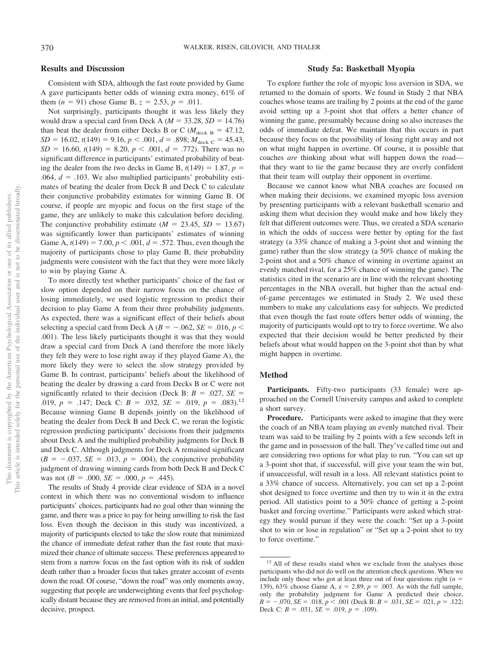## **Results and Discussion**

Consistent with SDA, although the fast route provided by Game A gave participants better odds of winning extra money, 61% of them  $(n = 91)$  chose Game B,  $z = 2.53$ ,  $p = .011$ .

Not surprisingly, participants thought it was less likely they would draw a special card from Deck A ( $M = 33.28$ ,  $SD = 14.76$ ) than beat the dealer from either Decks B or C ( $M_{\text{deck B}} = 47.12$ ,  $SD = 16.02$ ,  $t(149) = 9.16$ ,  $p < .001$ ,  $d = .898$ ;  $M_{\text{deck C}} = 45.43$ ,  $SD = 16.60$ ,  $t(149) = 8.20$ ,  $p < .001$ ,  $d = .772$ ). There was no significant difference in participants' estimated probability of beating the dealer from the two decks in Game B,  $t(149) = 1.87$ ,  $p =$  $.064, d = .103$ . We also multiplied participants' probability estimates of beating the dealer from Deck B and Deck C to calculate their conjunctive probability estimates for winning Game B. Of course, if people are myopic and focus on the first stage of the game, they are unlikely to make this calculation before deciding. The conjunctive probability estimate  $(M = 23.45, SD = 13.67)$ was significantly lower than participants' estimates of winning Game A,  $t(149) = 7.00, p < .001, d = .572$ . Thus, even though the majority of participants chose to play Game B, their probability judgments were consistent with the fact that they were more likely to win by playing Game A.

To more directly test whether participants' choice of the fast or slow option depended on their narrow focus on the chance of losing immediately, we used logistic regression to predict their decision to play Game A from their three probability judgments. As expected, there was a significant effect of their beliefs about selecting a special card from Deck A ( $B = -.062$ ,  $SE = .016$ ,  $p <$ .001). The less likely participants thought it was that they would draw a special card from Deck A (and therefore the more likely they felt they were to lose right away if they played Game A), the more likely they were to select the slow strategy provided by Game B. In contrast, participants' beliefs about the likelihood of beating the dealer by drawing a card from Decks B or C were not significantly related to their decision (Deck B:  $B = .027$ ,  $SE =$ .019,  $p = .147$ ; Deck C:  $B = .032$ ,  $SE = .019$ ,  $p = .083$ ).<sup>12</sup> Because winning Game B depends jointly on the likelihood of beating the dealer from Deck B and Deck C, we reran the logistic regression predicting participants' decisions from their judgments about Deck A and the multiplied probability judgments for Deck B and Deck C. Although judgments for Deck A remained significant  $(B = -.037, SE = .013, p = .004)$ , the conjunctive probability judgment of drawing winning cards from both Deck B and Deck C was not  $(B = .000, SE = .000, p = .445)$ .

The results of Study 4 provide clear evidence of SDA in a novel context in which there was no conventional wisdom to influence participants' choices, participants had no goal other than winning the game, and there was a price to pay for being unwilling to risk the fast loss. Even though the decision in this study was incentivized, a majority of participants elected to take the slow route that minimized the chance of immediate defeat rather than the fast route that maximized their chance of ultimate success. These preferences appeared to stem from a narrow focus on the fast option with its risk of sudden death rather than a broader focus that takes greater account of events down the road. Of course, "down the road" was only moments away, suggesting that people are underweighting events that feel psychologically distant because they are removed from an initial, and potentially decisive, prospect.

## **Study 5a: Basketball Myopia**

To explore further the role of myopic loss aversion in SDA, we returned to the domain of sports. We found in Study 2 that NBA coaches whose teams are trailing by 2 points at the end of the game avoid setting up a 3-point shot that offers a better chance of winning the game, presumably because doing so also increases the odds of immediate defeat. We maintain that this occurs in part because they focus on the possibility of losing right away and not on what might happen in overtime. Of course, it is possible that coaches *are* thinking about what will happen down the road that they want to tie the game because they are overly confident that their team will outplay their opponent in overtime.

Because we cannot know what NBA coaches are focused on when making their decisions, we examined myopic loss aversion by presenting participants with a relevant basketball scenario and asking them what decision they would make and how likely they felt that different outcomes were. Thus, we created a SDA scenario in which the odds of success were better by opting for the fast strategy (a 33% chance of making a 3-point shot and winning the game) rather than the slow strategy (a 50% chance of making the 2-point shot and a 50% chance of winning in overtime against an evenly matched rival, for a 25% chance of winning the game). The statistics cited in the scenario are in line with the relevant shooting percentages in the NBA overall, but higher than the actual endof-game percentages we estimated in Study 2. We used these numbers to make any calculations easy for subjects. We predicted that even though the fast route offers better odds of winning, the majority of participants would opt to try to force overtime. We also expected that their decision would be better predicted by their beliefs about what would happen on the 3-point shot than by what might happen in overtime.

#### **Method**

Participants. Fifty-two participants (33 female) were approached on the Cornell University campus and asked to complete a short survey.

**Procedure.** Participants were asked to imagine that they were the coach of an NBA team playing an evenly matched rival. Their team was said to be trailing by 2 points with a few seconds left in the game and in possession of the ball. They've called time out and are considering two options for what play to run. "You can set up a 3-point shot that, if successful, will give your team the win but, if unsuccessful, will result in a loss. All relevant statistics point to a 33% chance of success. Alternatively, you can set up a 2-point shot designed to force overtime and then try to win it in the extra period. All statistics point to a 50% chance of getting a 2-point basket and forcing overtime." Participants were asked which strategy they would pursue if they were the coach: "Set up a 3-point shot to win or lose in regulation" or "Set up a 2-point shot to try to force overtime."

<sup>&</sup>lt;sup>12</sup> All of these results stand when we exclude from the analyses those participants who did not do well on the attention check questions. When we include only those who got at least three out of four questions right  $(n =$ 139), 63% choose Game A,  $z = 2.89$ ,  $p = .003$ . As with the full sample, only the probability judgment for Game A predicted their choice,  $B = -0.070$ ,  $SE = 0.018$ ,  $p < 0.001$  (Deck B:  $B = 0.031$ ,  $SE = 0.021$ ,  $p = 0.122$ ; Deck C:  $B = .031$ ,  $SE = .019$ ,  $p = .109$ ).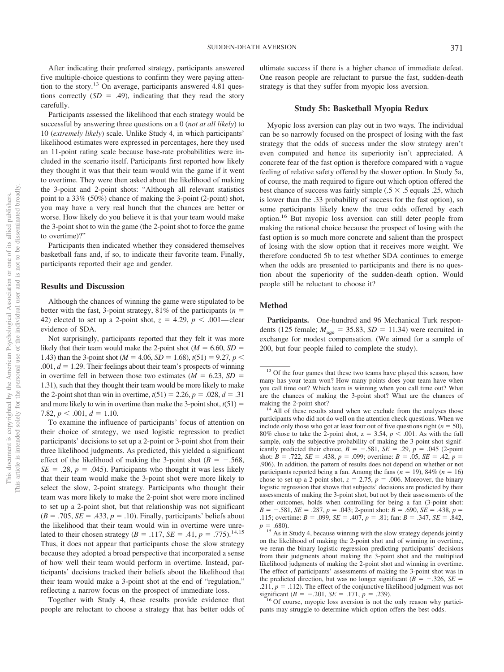After indicating their preferred strategy, participants answered five multiple-choice questions to confirm they were paying attention to the story.13 On average, participants answered 4.81 questions correctly  $(SD = .49)$ , indicating that they read the story carefully.

Participants assessed the likelihood that each strategy would be successful by answering three questions on a 0 (*not at all likely*) to 10 (*extremely likely*) scale. Unlike Study 4, in which participants' likelihood estimates were expressed in percentages, here they used an 11-point rating scale because base-rate probabilities were included in the scenario itself. Participants first reported how likely they thought it was that their team would win the game if it went to overtime. They were then asked about the likelihood of making the 3-point and 2-point shots: "Although all relevant statistics point to a 33% (50%) chance of making the 3-point (2-point) shot, you may have a very real hunch that the chances are better or worse. How likely do you believe it is that your team would make the 3-point shot to win the game (the 2-point shot to force the game to overtime)?"

Participants then indicated whether they considered themselves basketball fans and, if so, to indicate their favorite team. Finally, participants reported their age and gender.

## **Results and Discussion**

Although the chances of winning the game were stipulated to be better with the fast, 3-point strategy,  $81\%$  of the participants ( $n =$ 42) elected to set up a 2-point shot,  $z = 4.29$ ,  $p < .001$ —clear evidence of SDA.

Not surprisingly, participants reported that they felt it was more likely that their team would make the 2-point shot  $(M = 6.60, SD =$ 1.43) than the 3-point shot ( $M = 4.06$ ,  $SD = 1.68$ ),  $t(51) = 9.27$ ,  $p <$  $.001, d = 1.29$ . Their feelings about their team's prospects of winning. in overtime fell in between those two estimates  $(M = 6.23, SD =$ 1.31), such that they thought their team would be more likely to make the 2-point shot than win in overtime,  $t(51) = 2.26$ ,  $p = .028$ ,  $d = .31$ and more likely to win in overtime than make the 3-point shot,  $t(51) =$ 7.82,  $p < .001$ ,  $d = 1.10$ .

To examine the influence of participants' focus of attention on their choice of strategy, we used logistic regression to predict participants' decisions to set up a 2-point or 3-point shot from their three likelihood judgments. As predicted, this yielded a significant effect of the likelihood of making the 3-point shot ( $B = -.568$ ,  $SE = .28$ ,  $p = .045$ ). Participants who thought it was less likely that their team would make the 3-point shot were more likely to select the slow, 2-point strategy. Participants who thought their team was more likely to make the 2-point shot were more inclined to set up a 2-point shot, but that relationship was not significant  $(B = .705, SE = .433, p = .10)$ . Finally, participants' beliefs about the likelihood that their team would win in overtime were unrelated to their chosen strategy (*B* = .117, *SE* = .41, *p* = .775).<sup>14,15</sup> Thus, it does not appear that participants chose the slow strategy because they adopted a broad perspective that incorporated a sense of how well their team would perform in overtime. Instead, participants' decisions tracked their beliefs about the likelihood that their team would make a 3-point shot at the end of "regulation," reflecting a narrow focus on the prospect of immediate loss.

Together with Study 4, these results provide evidence that people are reluctant to choose a strategy that has better odds of ultimate success if there is a higher chance of immediate defeat. One reason people are reluctant to pursue the fast, sudden-death strategy is that they suffer from myopic loss aversion.

#### **Study 5b: Basketball Myopia Redux**

Myopic loss aversion can play out in two ways. The individual can be so narrowly focused on the prospect of losing with the fast strategy that the odds of success under the slow strategy aren't even computed and hence its superiority isn't appreciated. A concrete fear of the fast option is therefore compared with a vague feeling of relative safety offered by the slower option. In Study 5a, of course, the math required to figure out which option offered the best chance of success was fairly simple (.5  $\times$  .5 equals .25, which is lower than the .33 probability of success for the fast option), so some participants likely knew the true odds offered by each option.16 But myopic loss aversion can still deter people from making the rational choice because the prospect of losing with the fast option is so much more concrete and salient than the prospect of losing with the slow option that it receives more weight. We therefore conducted 5b to test whether SDA continues to emerge when the odds are presented to participants and there is no question about the superiority of the sudden-death option. Would people still be reluctant to choose it?

#### **Method**

**Participants.** One-hundred and 96 Mechanical Turk respondents (125 female;  $M_{\text{age}} = 35.83$ ,  $SD = 11.34$ ) were recruited in exchange for modest compensation. (We aimed for a sample of 200, but four people failed to complete the study).

 $16$  Of course, myopic loss aversion is not the only reason why participants may struggle to determine which option offers the best odds.

<sup>&</sup>lt;sup>13</sup> Of the four games that these two teams have played this season, how many has your team won? How many points does your team have when you call time out? Which team is winning when you call time out? What are the chances of making the 3-point shot? What are the chances of making the 2-point shot?  $14$  All of these results stand when we exclude from the analyses those

participants who did not do well on the attention check questions. When we include only those who got at least four out of five questions right  $(n = 50)$ , 80% chose to take the 2-point shot,  $z = 3.54$ ,  $p < .001$ . As with the full sample, only the subjective probability of making the 3-point shot significantly predicted their choice,  $B = -.581$ ,  $SE = .29$ ,  $p = .045$  (2-point shot:  $B = .722$ ,  $SE = .438$ ,  $p = .099$ ; overtime:  $B = .05$ ,  $SE = .42$ ,  $p =$ .906). In addition, the pattern of results does not depend on whether or not participants reported being a fan. Among the fans  $(n = 19)$ , 84%  $(n = 16)$ chose to set up a 2-point shot,  $z = 2.75$ ,  $p = .006$ . Moreover, the binary logistic regression that shows that subjects' decisions are predicted by their assessments of making the 3-point shot, but not by their assessments of the other outcomes, holds when controlling for being a fan (3-point shot:  $B = -.581$ ,  $SE = .287$ ,  $p = .043$ ; 2-point shot:  $B = .690$ ,  $SE = .438$ ,  $p =$ .115; overtime:  $B = .099$ ,  $SE = .407$ ,  $p = .81$ ; fan:  $B = .347$ ,  $SE = .842$ ,  $p = .680$ ).

<sup>&</sup>lt;sup>15</sup> As in Study 4, because winning with the slow strategy depends jointly on the likelihood of making the 2-point shot and of winning in overtime, we reran the binary logistic regression predicting participants' decisions from their judgments about making the 3-point shot and the multiplied likelihood judgments of making the 2-point shot and winning in overtime. The effect of participants' assessments of making the 3-point shot was in the predicted direction, but was no longer significant ( $B = -.326$ ,  $SE =$  $.211, p = .112$ ). The effect of the conjunctive likelihood judgment was not significant  $(B = -.201, SE = .171, p =$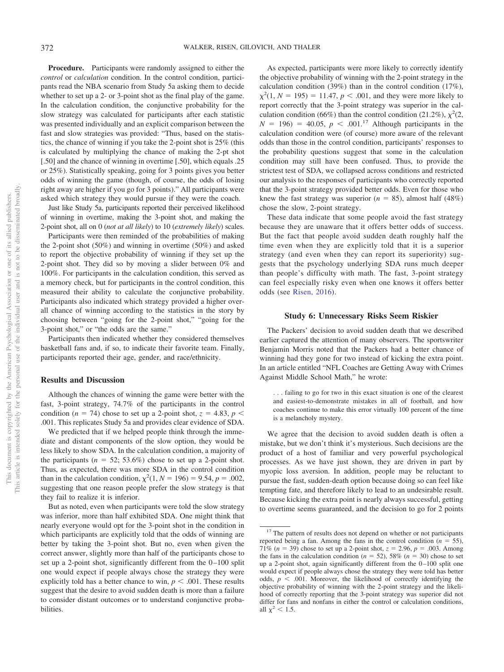**Procedure.** Participants were randomly assigned to either the *control* or *calculation* condition. In the control condition, participants read the NBA scenario from Study 5a asking them to decide whether to set up a 2- or 3-point shot as the final play of the game. In the calculation condition, the conjunctive probability for the slow strategy was calculated for participants after each statistic was presented individually and an explicit comparison between the fast and slow strategies was provided: "Thus, based on the statistics, the chance of winning if you take the 2-point shot is 25% (this is calculated by multiplying the chance of making the 2-pt shot [.50] and the chance of winning in overtime [.50], which equals .25 or 25%). Statistically speaking, going for 3 points gives you better odds of winning the game (though, of course, the odds of losing right away are higher if you go for 3 points)." All participants were asked which strategy they would pursue if they were the coach.

Just like Study 5a, participants reported their perceived likelihood of winning in overtime, making the 3-point shot, and making the 2-point shot, all on 0 (*not at all likely*) to 10 (*extremely likely*) scales.

Participants were then reminded of the probabilities of making the 2-point shot (50%) and winning in overtime (50%) and asked to report the objective probability of winning if they set up the 2-point shot. They did so by moving a slider between 0% and 100%. For participants in the calculation condition, this served as a memory check, but for participants in the control condition, this measured their ability to calculate the conjunctive probability. Participants also indicated which strategy provided a higher overall chance of winning according to the statistics in the story by choosing between "going for the 2-point shot," "going for the 3-point shot," or "the odds are the same."

Participants then indicated whether they considered themselves basketball fans and, if so, to indicate their favorite team. Finally, participants reported their age, gender, and race/ethnicity.

## **Results and Discussion**

Although the chances of winning the game were better with the fast, 3-point strategy, 74.7% of the participants in the control condition ( $n = 74$ ) chose to set up a 2-point shot,  $z = 4.83$ ,  $p <$ .001. This replicates Study 5a and provides clear evidence of SDA.

We predicted that if we helped people think through the immediate and distant components of the slow option, they would be less likely to show SDA. In the calculation condition, a majority of the participants ( $n = 52$ ; 53.6%) chose to set up a 2-point shot. Thus, as expected, there was more SDA in the control condition than in the calculation condition,  $\chi^2(1, N = 196) = 9.54$ ,  $p = .002$ , suggesting that one reason people prefer the slow strategy is that they fail to realize it is inferior.

But as noted, even when participants were told the slow strategy was inferior, more than half exhibited SDA. One might think that nearly everyone would opt for the 3-point shot in the condition in which participants are explicitly told that the odds of winning are better by taking the 3-point shot. But no, even when given the correct answer, slightly more than half of the participants chose to set up a 2-point shot, significantly different from the 0–100 split one would expect if people always chose the strategy they were explicitly told has a better chance to win,  $p < .001$ . These results suggest that the desire to avoid sudden death is more than a failure to consider distant outcomes or to understand conjunctive proba**bilities** 

As expected, participants were more likely to correctly identify the objective probability of winning with the 2-point strategy in the calculation condition (39%) than in the control condition (17%),  $\chi^2(1, N = 195) = 11.47, p < .001$ , and they were more likely to report correctly that the 3-point strategy was superior in the calculation condition (66%) than the control condition (21.2%),  $\chi^2$ (2,  $N = 196$  = 40.05,  $p < .001$ .<sup>17</sup> Although participants in the calculation condition were (of course) more aware of the relevant odds than those in the control condition, participants' responses to the probability questions suggest that some in the calculation condition may still have been confused. Thus, to provide the strictest test of SDA, we collapsed across conditions and restricted our analysis to the responses of participants who correctly reported that the 3-point strategy provided better odds. Even for those who knew the fast strategy was superior  $(n = 85)$ , almost half  $(48%)$ chose the slow, 2-point strategy.

These data indicate that some people avoid the fast strategy because they are unaware that it offers better odds of success. But the fact that people avoid sudden death roughly half the time even when they are explicitly told that it is a superior strategy (and even when they can report its superiority) suggests that the psychology underlying SDA runs much deeper than people's difficulty with math. The fast, 3-point strategy can feel especially risky even when one knows it offers better odds (see [Risen, 2016\)](#page-14-17).

## **Study 6: Unnecessary Risks Seem Riskier**

The Packers' decision to avoid sudden death that we described earlier captured the attention of many observers. The sportswriter Benjamin Morris noted that the Packers had a better chance of winning had they gone for two instead of kicking the extra point. In an article entitled "NFL Coaches are Getting Away with Crimes Against Middle School Math," he wrote:

. . . failing to go for two in this exact situation is one of the clearest and easiest-to-demonstrate mistakes in all of football, and how coaches continue to make this error virtually 100 percent of the time is a melancholy mystery.

We agree that the decision to avoid sudden death is often a mistake, but we don't think it's mysterious. Such decisions are the product of a host of familiar and very powerful psychological processes. As we have just shown, they are driven in part by myopic loss aversion. In addition, people may be reluctant to pursue the fast, sudden-death option because doing so can feel like tempting fate, and therefore likely to lead to an undesirable result. Because kicking the extra point is nearly always successful, getting to overtime seems guaranteed, and the decision to go for 2 points

<sup>&</sup>lt;sup>17</sup> The pattern of results does not depend on whether or not participants reported being a fan. Among the fans in the control condition  $(n = 55)$ , 71% ( $n = 39$ ) chose to set up a 2-point shot,  $z = 2.96$ ,  $p = .003$ . Among the fans in the calculation condition  $(n = 52)$ , 58%  $(n = 30)$  chose to set up a 2-point shot, again significantly different from the 0–100 split one would expect if people always chose the strategy they were told has better odds,  $p < .001$ . Moreover, the likelihood of correctly identifying the objective probability of winning with the 2-point strategy and the likelihood of correctly reporting that the 3-point strategy was superior did not differ for fans and nonfans in either the control or calculation conditions, all  $\chi^2$  < 1.5.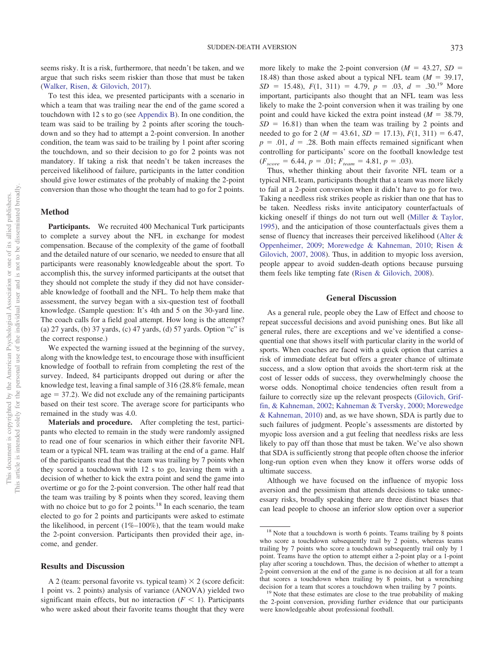seems risky. It is a risk, furthermore, that needn't be taken, and we argue that such risks seem riskier than those that must be taken [\(Walker, Risen, & Gilovich, 2017\)](#page-14-21).

To test this idea, we presented participants with a scenario in which a team that was trailing near the end of the game scored a touchdown with 12 s to go (see [Appendix B\)](#page-15-1). In one condition, the team was said to be trailing by 2 points after scoring the touchdown and so they had to attempt a 2-point conversion. In another condition, the team was said to be trailing by 1 point after scoring the touchdown, and so their decision to go for 2 points was not mandatory. If taking a risk that needn't be taken increases the perceived likelihood of failure, participants in the latter condition should give lower estimates of the probably of making the 2-point conversion than those who thought the team had to go for 2 points.

#### **Method**

Participants. We recruited 400 Mechanical Turk participants to complete a survey about the NFL in exchange for modest compensation. Because of the complexity of the game of football and the detailed nature of our scenario, we needed to ensure that all participants were reasonably knowledgeable about the sport. To accomplish this, the survey informed participants at the outset that they should not complete the study if they did not have considerable knowledge of football and the NFL. To help them make that assessment, the survey began with a six-question test of football knowledge. (Sample question: It's 4th and 5 on the 30-yard line. The coach calls for a field goal attempt. How long is the attempt? (a) 27 yards, (b) 37 yards, (c) 47 yards, (d) 57 yards. Option "c" is the correct response.)

We expected the warning issued at the beginning of the survey, along with the knowledge test, to encourage those with insufficient knowledge of football to refrain from completing the rest of the survey. Indeed, 84 participants dropped out during or after the knowledge test, leaving a final sample of 316 (28.8% female, mean  $age = 37.2$ ). We did not exclude any of the remaining participants based on their test score. The average score for participants who remained in the study was 4.0.

**Materials and procedure.** After completing the test, participants who elected to remain in the study were randomly assigned to read one of four scenarios in which either their favorite NFL team or a typical NFL team was trailing at the end of a game. Half of the participants read that the team was trailing by 7 points when they scored a touchdown with 12 s to go, leaving them with a decision of whether to kick the extra point and send the game into overtime or go for the 2-point conversion. The other half read that the team was trailing by 8 points when they scored, leaving them with no choice but to go for 2 points.<sup>18</sup> In each scenario, the team elected to go for 2 points and participants were asked to estimate the likelihood, in percent  $(1\% - 100\%)$ , that the team would make the 2-point conversion. Participants then provided their age, income, and gender.

#### **Results and Discussion**

A 2 (team: personal favorite vs. typical team)  $\times$  2 (score deficit: 1 point vs. 2 points) analysis of variance (ANOVA) yielded two significant main effects, but no interaction  $(F \leq 1)$ . Participants who were asked about their favorite teams thought that they were

more likely to make the 2-point conversion ( $M = 43.27$ ,  $SD =$ 18.48) than those asked about a typical NFL team  $(M = 39.17,$  $SD = 15.48$ ,  $F(1, 311) = 4.79$ ,  $p = .03$ ,  $d = .30$ <sup>19</sup> More important, participants also thought that an NFL team was less likely to make the 2-point conversion when it was trailing by one point and could have kicked the extra point instead  $(M = 38.79)$ ,  $SD = 16.81$ ) than when the team was trailing by 2 points and needed to go for 2 ( $M = 43.61$ ,  $SD = 17.13$ ),  $F(1, 311) = 6.47$ ,  $p = .01, d = .28$ . Both main effects remained significant when controlling for participants' score on the football knowledge test  $(F_{score} = 6.44, p = .01; F_{team} = 4.81, p = .03).$ 

Thus, whether thinking about their favorite NFL team or a typical NFL team, participants thought that a team was more likely to fail at a 2-point conversion when it didn't have to go for two. Taking a needless risk strikes people as riskier than one that has to be taken. Needless risks invite anticipatory counterfactuals of kicking oneself if things do not turn out well [\(Miller & Taylor,](#page-14-22) [1995\)](#page-14-22), and the anticipation of those counterfactuals gives them a sense of fluency that increases their perceived likelihood [\(Alter &](#page-13-11) [Oppenheimer, 2009;](#page-13-11) [Morewedge & Kahneman, 2010;](#page-14-23) [Risen &](#page-14-18) [Gilovich, 2007,](#page-14-18) [2008\)](#page-14-19). Thus, in addition to myopic loss aversion, people appear to avoid sudden-death options because pursuing them feels like tempting fate [\(Risen & Gilovich, 2008\)](#page-14-19).

## **General Discussion**

As a general rule, people obey the Law of Effect and choose to repeat successful decisions and avoid punishing ones. But like all general rules, there are exceptions and we've identified a consequential one that shows itself with particular clarity in the world of sports. When coaches are faced with a quick option that carries a risk of immediate defeat but offers a greater chance of ultimate success, and a slow option that avoids the short-term risk at the cost of lesser odds of success, they overwhelmingly choose the worse odds. Nonoptimal choice tendencies often result from a failure to correctly size up the relevant prospects [\(Gilovich, Grif](#page-13-12)[fin, & Kahneman, 2002;](#page-13-12) [Kahneman & Tversky, 2000;](#page-14-24) [Morewedge](#page-14-23) [& Kahneman, 2010\)](#page-14-23) and, as we have shown, SDA is partly due to such failures of judgment. People's assessments are distorted by myopic loss aversion and a gut feeling that needless risks are less likely to pay off than those that must be taken. We've also shown that SDA is sufficiently strong that people often choose the inferior long-run option even when they know it offers worse odds of ultimate success.

Although we have focused on the influence of myopic loss aversion and the pessimism that attends decisions to take unnecessary risks, broadly speaking there are three distinct biases that can lead people to choose an inferior slow option over a superior

<sup>&</sup>lt;sup>18</sup> Note that a touchdown is worth 6 points. Teams trailing by 8 points who score a touchdown subsequently trail by 2 points, whereas teams trailing by 7 points who score a touchdown subsequently trail only by 1 point. Teams have the option to attempt either a 2-point play or a 1-point play after scoring a touchdown. Thus, the decision of whether to attempt a 2-point conversion at the end of the game is no decision at all for a team that scores a touchdown when trailing by 8 points, but a wrenching

decision for a team that scores a touchdown when trailing by 7 points.<br><sup>19</sup> Note that these estimates are close to the true probability of making the 2-point conversion, providing further evidence that our participants were knowledgeable about professional football.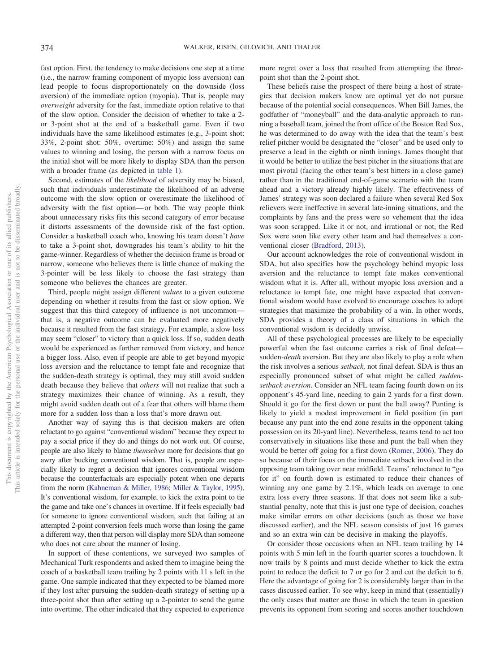fast option. First, the tendency to make decisions one step at a time (i.e., the narrow framing component of myopic loss aversion) can lead people to focus disproportionately on the downside (loss aversion) of the immediate option (myopia). That is, people may *overweight* adversity for the fast, immediate option relative to that of the slow option. Consider the decision of whether to take a 2 or 3-point shot at the end of a basketball game. Even if two individuals have the same likelihood estimates (e.g., 3-point shot: 33%, 2-point shot: 50%, overtime: 50%) and assign the same values to winning and losing, the person with a narrow focus on the initial shot will be more likely to display SDA than the person with a broader frame (as depicted in [table 1\)](#page-2-0).

Second, estimates of the *likelihood* of adversity may be biased, such that individuals underestimate the likelihood of an adverse outcome with the slow option or overestimate the likelihood of adversity with the fast option— or both. The way people think about unnecessary risks fits this second category of error because it distorts assessments of the downside risk of the fast option. Consider a basketball coach who, knowing his team doesn't *have* to take a 3-point shot, downgrades his team's ability to hit the game-winner. Regardless of whether the decision frame is broad or narrow, someone who believes there is little chance of making the 3-pointer will be less likely to choose the fast strategy than someone who believes the chances are greater.

Third, people might assign different *values* to a given outcome depending on whether it results from the fast or slow option. We suggest that this third category of influence is not uncommon that is, a negative outcome can be evaluated more negatively because it resulted from the fast strategy. For example, a slow loss may seem "closer" to victory than a quick loss. If so, sudden death would be experienced as further removed from victory, and hence a bigger loss. Also, even if people are able to get beyond myopic loss aversion and the reluctance to tempt fate and recognize that the sudden-death strategy is optimal, they may still avoid sudden death because they believe that *others* will not realize that such a strategy maximizes their chance of winning. As a result, they might avoid sudden death out of a fear that others will blame them more for a sudden loss than a loss that's more drawn out.

Another way of saying this is that decision makers are often reluctant to go against "conventional wisdom" because they expect to pay a social price if they do and things do not work out. Of course, people are also likely to blame *themselves* more for decisions that go awry after bucking conventional wisdom. That is, people are especially likely to regret a decision that ignores conventional wisdom because the counterfactuals are especially potent when one departs from the norm [\(Kahneman & Miller, 1986;](#page-14-25) [Miller & Taylor, 1995\)](#page-14-22). It's conventional wisdom, for example, to kick the extra point to tie the game and take one's chances in overtime. If it feels especially bad for someone to ignore conventional wisdom, such that failing at an attempted 2-point conversion feels much worse than losing the game a different way, then that person will display more SDA than someone who does not care about the manner of losing.

In support of these contentions, we surveyed two samples of Mechanical Turk respondents and asked them to imagine being the coach of a basketball team trailing by 2 points with 11 s left in the game. One sample indicated that they expected to be blamed more if they lost after pursuing the sudden-death strategy of setting up a three-point shot than after setting up a 2-pointer to send the game into overtime. The other indicated that they expected to experience

more regret over a loss that resulted from attempting the threepoint shot than the 2-point shot.

These beliefs raise the prospect of there being a host of strategies that decision makers know are optimal yet do not pursue because of the potential social consequences. When Bill James, the godfather of "moneyball" and the data-analytic approach to running a baseball team, joined the front office of the Boston Red Sox, he was determined to do away with the idea that the team's best relief pitcher would be designated the "closer" and be used only to preserve a lead in the eighth or ninth innings. James thought that it would be better to utilize the best pitcher in the situations that are most pivotal (facing the other team's best hitters in a close game) rather than in the traditional end-of-game scenario with the team ahead and a victory already highly likely. The effectiveness of James' strategy was soon declared a failure when several Red Sox relievers were ineffective in several late-inning situations, and the complaints by fans and the press were so vehement that the idea was soon scrapped. Like it or not, and irrational or not, the Red Sox were soon like every other team and had themselves a conventional closer [\(Bradford, 2013\)](#page-13-13).

Our account acknowledges the role of conventional wisdom in SDA, but also specifies how the psychology behind myopic loss aversion and the reluctance to tempt fate makes conventional wisdom what it is. After all, without myopic loss aversion and a reluctance to tempt fate, one might have expected that conventional wisdom would have evolved to encourage coaches to adopt strategies that maximize the probability of a win. In other words, SDA provides a theory of a class of situations in which the conventional wisdom is decidedly unwise.

All of these psychological processes are likely to be especially powerful when the fast outcome carries a risk of final defeat sudden*-death* aversion. But they are also likely to play a role when the risk involves a serious *setback,* not final defeat. SDA is thus an especially pronounced subset of what might be called *suddensetback aversion*. Consider an NFL team facing fourth down on its opponent's 45-yard line, needing to gain 2 yards for a first down. Should it go for the first down or punt the ball away? Punting is likely to yield a modest improvement in field position (in part because any punt into the end zone results in the opponent taking possession on its 20-yard line). Nevertheless, teams tend to act too conservatively in situations like these and punt the ball when they would be better off going for a first down [\(Romer, 2006\)](#page-14-26). They do so because of their focus on the immediate setback involved in the opposing team taking over near midfield. Teams' reluctance to "go for it" on fourth down is estimated to reduce their chances of winning any one game by 2.1%, which leads on average to one extra loss every three seasons. If that does not seem like a substantial penalty, note that this is just one type of decision, coaches make similar errors on other decisions (such as those we have discussed earlier), and the NFL season consists of just 16 games and so an extra win can be decisive in making the playoffs.

Or consider those occasions when an NFL team trailing by 14 points with 5 min left in the fourth quarter scores a touchdown. It now trails by 8 points and must decide whether to kick the extra point to reduce the deficit to 7 or go for 2 and cut the deficit to 6. Here the advantage of going for 2 is considerably larger than in the cases discussed earlier. To see why, keep in mind that (essentially) the only cases that matter are those in which the team in question prevents its opponent from scoring and scores another touchdown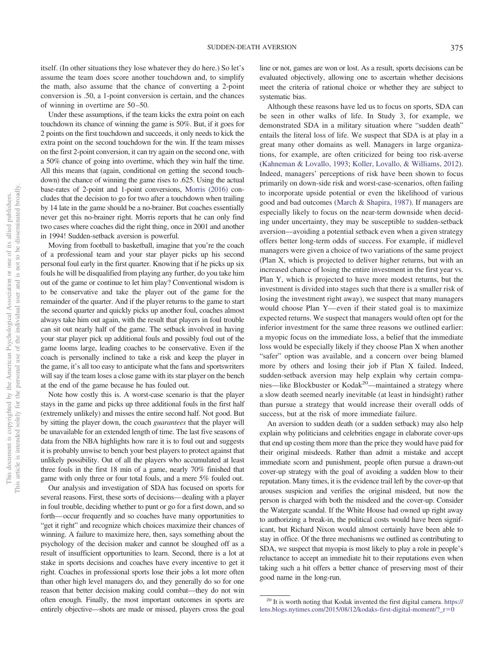itself. (In other situations they lose whatever they do here.) So let's assume the team does score another touchdown and, to simplify the math, also assume that the chance of converting a 2-point conversion is .50, a 1-point conversion is certain, and the chances of winning in overtime are 50 –50.

Under these assumptions, if the team kicks the extra point on each touchdown its chance of winning the game is 50%. But, if it goes for 2 points on the first touchdown and succeeds, it only needs to kick the extra point on the second touchdown for the win. If the team misses on the first 2-point conversion, it can try again on the second one, with a 50% chance of going into overtime, which they win half the time. All this means that (again, conditional on getting the second touchdown) the chance of winning the game rises to .625. Using the actual base-rates of 2-point and 1-point conversions, [Morris \(2016\)](#page-14-27) concludes that the decision to go for two after a touchdown when trailing by 14 late in the game should be a no-brainer. But coaches essentially never get this no-brainer right. Morris reports that he can only find two cases where coaches did the right thing, once in 2001 and another in 1994! Sudden-setback aversion is powerful.

Moving from football to basketball, imagine that you're the coach of a professional team and your star player picks up his second personal foul early in the first quarter. Knowing that if he picks up six fouls he will be disqualified from playing any further, do you take him out of the game or continue to let him play? Conventional wisdom is to be conservative and take the player out of the game for the remainder of the quarter. And if the player returns to the game to start the second quarter and quickly picks up another foul, coaches almost always take him out again, with the result that players in foul trouble can sit out nearly half of the game. The setback involved in having your star player pick up additional fouls and possibly foul out of the game looms large, leading coaches to be conservative. Even if the coach is personally inclined to take a risk and keep the player in the game, it's all too easy to anticipate what the fans and sportswriters will say if the team loses a close game with its star player on the bench at the end of the game because he has fouled out.

Note how costly this is. A worst-case scenario is that the player stays in the game and picks up three additional fouls in the first half (extremely unlikely) and misses the entire second half. Not good. But by sitting the player down, the coach *guarantees* that the player will be unavailable for an extended length of time. The last five seasons of data from the NBA highlights how rare it is to foul out and suggests it is probably unwise to bench your best players to protect against that unlikely possibility. Out of all the players who accumulated at least three fouls in the first 18 min of a game, nearly 70% finished that game with only three or four total fouls, and a mere 5% fouled out.

Our analysis and investigation of SDA has focused on sports for several reasons. First, these sorts of decisions— dealing with a player in foul trouble, deciding whether to punt or go for a first down, and so forth— occur frequently and so coaches have many opportunities to "get it right" and recognize which choices maximize their chances of winning. A failure to maximize here, then, says something about the psychology of the decision maker and cannot be sloughed off as a result of insufficient opportunities to learn. Second, there is a lot at stake in sports decisions and coaches have every incentive to get it right. Coaches in professional sports lose their jobs a lot more often than other high level managers do, and they generally do so for one reason that better decision making could combat—they do not win often enough. Finally, the most important outcomes in sports are entirely objective—shots are made or missed, players cross the goal

line or not, games are won or lost. As a result, sports decisions can be evaluated objectively, allowing one to ascertain whether decisions meet the criteria of rational choice or whether they are subject to systematic bias.

Although these reasons have led us to focus on sports, SDA can be seen in other walks of life. In Study 3, for example, we demonstrated SDA in a military situation where "sudden death" entails the literal loss of life. We suspect that SDA is at play in a great many other domains as well. Managers in large organizations, for example, are often criticized for being too risk-averse [\(Kahneman & Lovallo, 1993;](#page-13-3) [Koller, Lovallo, & Williams, 2012\)](#page-14-28). Indeed, managers' perceptions of risk have been shown to focus primarily on down-side risk and worst-case-scenarios, often failing to incorporate upside potential or even the likelihood of various good and bad outcomes [\(March & Shapira, 1987\)](#page-14-29). If managers are especially likely to focus on the near-term downside when deciding under uncertainty, they may be susceptible to sudden-setback aversion—avoiding a potential setback even when a given strategy offers better long-term odds of success. For example, if midlevel managers were given a choice of two variations of the same project (Plan X, which is projected to deliver higher returns, but with an increased chance of losing the entire investment in the first year vs. Plan Y, which is projected to have more modest returns, but the investment is divided into stages such that there is a smaller risk of losing the investment right away), we suspect that many managers would choose Plan Y— even if their stated goal is to maximize expected returns. We suspect that managers would often opt for the inferior investment for the same three reasons we outlined earlier: a myopic focus on the immediate loss, a belief that the immediate loss would be especially likely if they choose Plan X when another "safer" option was available, and a concern over being blamed more by others and losing their job if Plan X failed. Indeed, sudden-setback aversion may help explain why certain companies—like Blockbuster or Kodak<sup>20</sup>—maintained a strategy where a slow death seemed nearly inevitable (at least in hindsight) rather than pursue a strategy that would increase their overall odds of success, but at the risk of more immediate failure.

An aversion to sudden death (or a sudden setback) may also help explain why politicians and celebrities engage in elaborate cover-ups that end up costing them more than the price they would have paid for their original misdeeds. Rather than admit a mistake and accept immediate scorn and punishment, people often pursue a drawn-out cover-up strategy with the goal of avoiding a sudden blow to their reputation. Many times, it is the evidence trail left by the cover-up that arouses suspicion and verifies the original misdeed, but now the person is charged with both the misdeed and the cover-up. Consider the Watergate scandal. If the White House had owned up right away to authorizing a break-in, the political costs would have been significant, but Richard Nixon would almost certainly have been able to stay in office. Of the three mechanisms we outlined as contributing to SDA, we suspect that myopia is most likely to play a role in people's reluctance to accept an immediate hit to their reputations even when taking such a hit offers a better chance of preserving most of their good name in the long-run.

<sup>20</sup> It is worth noting that Kodak invented the first digital camera. [https://](https://lens.blogs.nytimes.com/2015/08/12/kodaks-first-digital-moment/?_r=0) [lens.blogs.nytimes.com/2015/08/12/kodaks-first-digital-moment/?\\_r](https://lens.blogs.nytimes.com/2015/08/12/kodaks-first-digital-moment/?_r=0)-0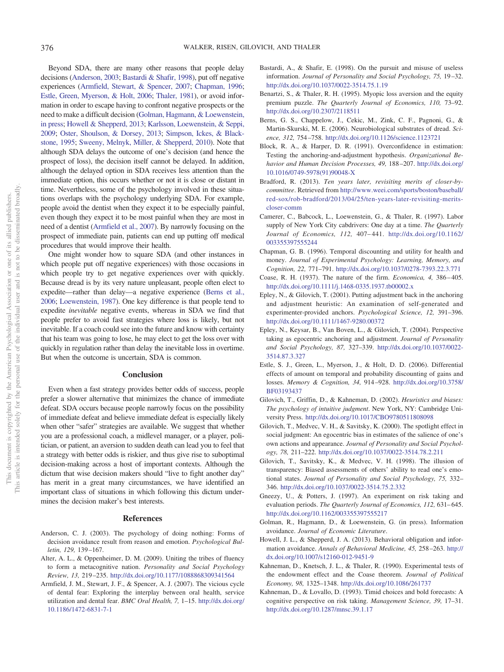Beyond SDA, there are many other reasons that people delay decisions [\(Anderson, 2003;](#page-13-14) [Bastardi & Shafir, 1998\)](#page-13-15), put off negative experiences [\(Armfield, Stewart, & Spencer, 2007;](#page-13-16) [Chapman, 1996;](#page-13-17) [Estle, Green, Myerson, & Holt, 2006;](#page-13-18) [Thaler, 1981\)](#page-14-30), or avoid information in order to escape having to confront negative prospects or the need to make a difficult decision [\(Golman, Hagmann, & Loewenstein,](#page-13-19) [in press;](#page-13-19) [Howell & Shepperd, 2013;](#page-13-20) [Karlsson, Loewenstein, & Seppi,](#page-14-31) [2009;](#page-14-31) [Oster, Shoulson, & Dorsey, 2013;](#page-14-32) [Simpson, Ickes, & Black](#page-14-33)[stone, 1995;](#page-14-33) [Sweeny, Melnyk, Miller, & Shepperd, 2010\)](#page-14-34). Note that although SDA delays the outcome of one's decision (and hence the prospect of loss), the decision itself cannot be delayed. In addition, although the delayed option in SDA receives less attention than the immediate option, this occurs whether or not it is close or distant in time. Nevertheless, some of the psychology involved in these situations overlaps with the psychology underlying SDA. For example, people avoid the dentist when they expect it to be especially painful, even though they expect it to be most painful when they are most in need of a dentist [\(Armfield et al., 2007\)](#page-13-16). By narrowly focusing on the prospect of immediate pain, patients can end up putting off medical procedures that would improve their health.

One might wonder how to square SDA (and other instances in which people put off negative experiences) with those occasions in which people try to get negative experiences over with quickly. Because dread is by its very nature unpleasant, people often elect to expedite—rather than delay—a negative experience [\(Berns et al.,](#page-13-21) [2006;](#page-13-21) [Loewenstein, 1987\)](#page-14-35). One key difference is that people tend to expedite *inevitable* negative events, whereas in SDA we find that people prefer to avoid fast strategies where loss is likely, but not inevitable. If a coach could see into the future and know with certainty that his team was going to lose, he may elect to get the loss over with quickly in regulation rather than delay the inevitable loss in overtime. But when the outcome is uncertain, SDA is common.

#### **Conclusion**

Even when a fast strategy provides better odds of success, people prefer a slower alternative that minimizes the chance of immediate defeat. SDA occurs because people narrowly focus on the possibility of immediate defeat and believe immediate defeat is especially likely when other "safer" strategies are available. We suggest that whether you are a professional coach, a midlevel manager, or a player, politician, or patient, an aversion to sudden death can lead you to feel that a strategy with better odds is riskier, and thus give rise to suboptimal decision-making across a host of important contexts. Although the dictum that wise decision makers should "live to fight another day" has merit in a great many circumstances, we have identified an important class of situations in which following this dictum undermines the decision maker's best interests.

#### **References**

- <span id="page-13-14"></span>Anderson, C. J. (2003). The psychology of doing nothing: Forms of decision avoidance result from reason and emotion. *Psychological Bulletin, 129,* 139 –167.
- <span id="page-13-11"></span>Alter, A. L., & Oppenheimer, D. M. (2009). Uniting the tribes of fluency to form a metacognitive nation. *Personality and Social Psychology Review, 13,* 219 –235. <http://dx.doi.org/10.1177/1088868309341564>
- <span id="page-13-16"></span>Armfield, J. M., Stewart, J. F., & Spencer, A. J. (2007). The vicious cycle of dental fear: Exploring the interplay between oral health, service utilization and dental fear. *BMC Oral Health, 7,* 1–15. [http://dx.doi.org/](http://dx.doi.org/10.1186/1472-6831-7-1) [10.1186/1472-6831-7-1](http://dx.doi.org/10.1186/1472-6831-7-1)
- <span id="page-13-15"></span>Bastardi, A., & Shafir, E. (1998). On the pursuit and misuse of useless information. *Journal of Personality and Social Psychology, 75,* 19 –32. <http://dx.doi.org/10.1037/0022-3514.75.1.19>
- <span id="page-13-1"></span>Benartzi, S., & Thaler, R. H. (1995). Myopic loss aversion and the equity premium puzzle. *The Quarterly Journal of Economics, 110,* 73–92. <http://dx.doi.org/10.2307/2118511>
- <span id="page-13-21"></span>Berns, G. S., Chappelow, J., Cekic, M., Zink, C. F., Pagnoni, G., & Martin-Skurski, M. E. (2006). Neurobiological substrates of dread. *Science, 312,* 754 –758. <http://dx.doi.org/10.1126/science.1123721>
- <span id="page-13-7"></span>Block, R. A., & Harper, D. R. (1991). Overconfidence in estimation: Testing the anchoring-and-adjustment hypothesis. *Organizational Behavior and Human Decision Processes, 49,* 188 –207. [http://dx.doi.org/](http://dx.doi.org/10.1016/0749-5978%2891%2990048-X) [10.1016/0749-5978\(91\)90048-X](http://dx.doi.org/10.1016/0749-5978%2891%2990048-X)
- <span id="page-13-13"></span>Bradford, R. (2013). *Ten years later, revisiting merits of closer-bycommittee*. Retrieved from [http://www.weei.com/sports/boston/baseball/](http://www.weei.com/sports/boston/baseball/red-sox/rob-bradford/2013/04/25/ten-years-later-revisiting-merits-closer-comm) [red-sox/rob-bradford/2013/04/25/ten-years-later-revisiting-merits](http://www.weei.com/sports/boston/baseball/red-sox/rob-bradford/2013/04/25/ten-years-later-revisiting-merits-closer-comm)[closer-comm](http://www.weei.com/sports/boston/baseball/red-sox/rob-bradford/2013/04/25/ten-years-later-revisiting-merits-closer-comm)
- <span id="page-13-5"></span>Camerer, C., Babcock, L., Loewenstein, G., & Thaler, R. (1997). Labor supply of New York City cabdrivers: One day at a time. *The Quarterly Journal of Economics, 112,* 407– 441. [http://dx.doi.org/10.1162/](http://dx.doi.org/10.1162/003355397555244) [003355397555244](http://dx.doi.org/10.1162/003355397555244)
- <span id="page-13-17"></span>Chapman, G. B. (1996). Temporal discounting and utility for health and money. *Journal of Experimental Psychology: Learning, Memory, and Cognition, 22,* 771–791. <http://dx.doi.org/10.1037/0278-7393.22.3.771>
- <span id="page-13-0"></span>Coase, R. H. (1937). The nature of the firm. *Economica, 4,* 386 – 405. <http://dx.doi.org/10.1111/j.1468-0335.1937.tb00002.x>
- <span id="page-13-6"></span>Epley, N., & Gilovich, T. (2001). Putting adjustment back in the anchoring and adjustment heuristic: An examination of self-generated and experimenter-provided anchors. *Psychological Science, 12,* 391–396. <http://dx.doi.org/10.1111/1467-9280.00372>
- <span id="page-13-8"></span>Epley, N., Keysar, B., Van Boven, L., & Gilovich, T. (2004). Perspective taking as egocentric anchoring and adjustment. *Journal of Personality and Social Psychology, 87,* 327–339. [http://dx.doi.org/10.1037/0022-](http://dx.doi.org/10.1037/0022-3514.87.3.327) [3514.87.3.327](http://dx.doi.org/10.1037/0022-3514.87.3.327)
- <span id="page-13-18"></span>Estle, S. J., Green, L., Myerson, J., & Holt, D. D. (2006). Differential effects of amount on temporal and probability discounting of gains and losses. *Memory & Cognition, 34,* 914 –928. [http://dx.doi.org/10.3758/](http://dx.doi.org/10.3758/BF03193437) [BF03193437](http://dx.doi.org/10.3758/BF03193437)
- <span id="page-13-12"></span>Gilovich, T., Griffin, D., & Kahneman, D. (2002). *Heuristics and biases: The psychology of intuitive judgment*. New York, NY: Cambridge University Press. <http://dx.doi.org/10.1017/CBO9780511808098>
- <span id="page-13-9"></span>Gilovich, T., Medvec, V. H., & Savitsky, K. (2000). The spotlight effect in social judgment: An egocentric bias in estimates of the salience of one's own actions and appearance. *Journal of Personality and Social Psychology, 78,* 211–222. <http://dx.doi.org/10.1037/0022-3514.78.2.211>
- <span id="page-13-10"></span>Gilovich, T., Savitsky, K., & Medvec, V. H. (1998). The illusion of transparency: Biased assessments of others' ability to read one's emotional states. *Journal of Personality and Social Psychology, 75,* 332– 346. <http://dx.doi.org/10.1037/0022-3514.75.2.332>
- <span id="page-13-4"></span>Gneezy, U., & Potters, J. (1997). An experiment on risk taking and evaluation periods. *The Quarterly Journal of Economics, 112, 631-645*. <http://dx.doi.org/10.1162/003355397555217>
- <span id="page-13-19"></span>Golman, R., Hagmann, D., & Loewenstein, G. (in press). Information avoidance. *Journal of Economic Literature*.
- <span id="page-13-20"></span>Howell, J. L., & Shepperd, J. A. (2013). Behavioral obligation and information avoidance. *Annals of Behavioral Medicine, 45,* 258 –263. [http://](http://dx.doi.org/10.1007/s12160-012-9451-9) [dx.doi.org/10.1007/s12160-012-9451-9](http://dx.doi.org/10.1007/s12160-012-9451-9)
- <span id="page-13-2"></span>Kahneman, D., Knetsch, J. L., & Thaler, R. (1990). Experimental tests of the endowment effect and the Coase theorem. *Journal of Political Economy, 98,* 1325–1348. <http://dx.doi.org/10.1086/261737>
- <span id="page-13-3"></span>Kahneman, D., & Lovallo, D. (1993). Timid choices and bold forecasts: A cognitive perspective on risk taking. *Management Science, 39,* 17–31. <http://dx.doi.org/10.1287/mnsc.39.1.17>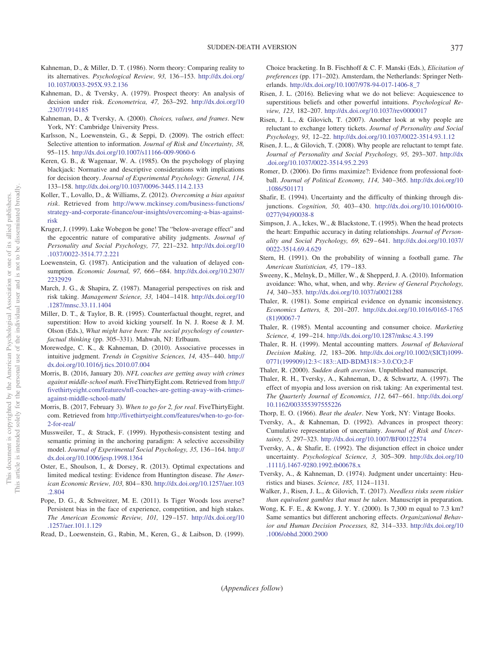- <span id="page-14-25"></span>Kahneman, D., & Miller, D. T. (1986). Norm theory: Comparing reality to its alternatives. *Psychological Review, 93,* 136 –153. [http://dx.doi.org/](http://dx.doi.org/10.1037/0033-295X.93.2.136) [10.1037/0033-295X.93.2.136](http://dx.doi.org/10.1037/0033-295X.93.2.136)
- <span id="page-14-3"></span>Kahneman, D., & Tversky, A. (1979). Prospect theory: An analysis of decision under risk. *Econometrica, 47,* 263–292. [http://dx.doi.org/10](http://dx.doi.org/10.2307/1914185) [.2307/1914185](http://dx.doi.org/10.2307/1914185)
- <span id="page-14-24"></span>Kahneman, D., & Tversky, A. (2000). *Choices, values, and frames*. New York, NY: Cambridge University Press.
- <span id="page-14-31"></span>Karlsson, N., Loewenstein, G., & Seppi, D. (2009). The ostrich effect: Selective attention to information. *Journal of Risk and Uncertainty, 38,* 95–115. <http://dx.doi.org/10.1007/s11166-009-9060-6>
- <span id="page-14-2"></span>Keren, G. B., & Wagenaar, W. A. (1985). On the psychology of playing blackjack: Normative and descriptive considerations with implications for decision theory. *Journal of Experimental Psychology: General, 114,* 133–158. <http://dx.doi.org/10.1037/0096-3445.114.2.133>
- <span id="page-14-28"></span>Koller, T., Lovallo, D., & Williams, Z. (2012). *Overcoming a bias against risk*. Retrieved from [http://www.mckinsey.com/business-functions/](http://www.mckinsey.com/business-functions/strategy-and-corporate-finance/our-insights/overcoming-a-bias-against-risk) [strategy-and-corporate-finance/our-insights/overcoming-a-bias-against](http://www.mckinsey.com/business-functions/strategy-and-corporate-finance/our-insights/overcoming-a-bias-against-risk)[risk](http://www.mckinsey.com/business-functions/strategy-and-corporate-finance/our-insights/overcoming-a-bias-against-risk)
- <span id="page-14-14"></span>Kruger, J. (1999). Lake Wobegon be gone! The "below-average effect" and the egocentric nature of comparative ability judgments. *Journal of Personality and Social Psychology, 77,* 221–232. [http://dx.doi.org/10](http://dx.doi.org/10.1037/0022-3514.77.2.221) [.1037/0022-3514.77.2.221](http://dx.doi.org/10.1037/0022-3514.77.2.221)
- <span id="page-14-35"></span>Loewenstein, G. (1987). Anticipation and the valuation of delayed consumption. *Economic Journal, 97,* 666 – 684. [http://dx.doi.org/10.2307/](http://dx.doi.org/10.2307/2232929) [2232929](http://dx.doi.org/10.2307/2232929)
- <span id="page-14-29"></span>March, J. G., & Shapira, Z. (1987). Managerial perspectives on risk and risk taking. *Management Science, 33,* 1404 –1418. [http://dx.doi.org/10](http://dx.doi.org/10.1287/mnsc.33.11.1404) [.1287/mnsc.33.11.1404](http://dx.doi.org/10.1287/mnsc.33.11.1404)
- <span id="page-14-22"></span>Miller, D. T., & Taylor, B. R. (1995). Counterfactual thought, regret, and superstition: How to avoid kicking yourself. In N. J. Roese & J. M. Olson (Eds.), *What might have been: The social psychology of counterfactual thinking* (pp. 305–331). Mahwah, NJ: Erlbaum.
- <span id="page-14-23"></span>Morewedge, C. K., & Kahneman, D. (2010). Associative processes in intuitive judgment. *Trends in Cognitive Sciences*, 14, 435–440. [http://](http://dx.doi.org/10.1016/j.tics.2010.07.004) [dx.doi.org/10.1016/j.tics.2010.07.004](http://dx.doi.org/10.1016/j.tics.2010.07.004)
- <span id="page-14-27"></span>Morris, B. (2016, January 20). *NFL coaches are getting away with crimes against middle-school math*. FiveThirtyEight.com. Retrieved from [http://](http://fivethirtyeight.com/features/nfl-coaches-are-getting-away-with-crimes-against-middle-school-math/) [fivethirtyeight.com/features/nfl-coaches-are-getting-away-with-crimes](http://fivethirtyeight.com/features/nfl-coaches-are-getting-away-with-crimes-against-middle-school-math/)[against-middle-school-math/](http://fivethirtyeight.com/features/nfl-coaches-are-getting-away-with-crimes-against-middle-school-math/)
- <span id="page-14-20"></span>Morris, B. (2017, February 3). *When to go for 2, for real*. FiveThirtyEight. com. Retrieved from [http://fivethirtyeight.com/features/when-to-go-for-](http://fivethirtyeight.com/features/when-to-go-for-2-for-real/)[2-for-real/](http://fivethirtyeight.com/features/when-to-go-for-2-for-real/)
- <span id="page-14-11"></span>Mussweiler, T., & Strack, F. (1999). Hypothesis-consistent testing and semantic priming in the anchoring paradigm: A selective accessibility model. *Journal of Experimental Social Psychology, 35,* 136 –164. [http://](http://dx.doi.org/10.1006/jesp.1998.1364) [dx.doi.org/10.1006/jesp.1998.1364](http://dx.doi.org/10.1006/jesp.1998.1364)
- <span id="page-14-32"></span>Oster, E., Shoulson, I., & Dorsey, R. (2013). Optimal expectations and limited medical testing: Evidence from Huntington disease. *The American Economic Review, 103,* 804 – 830. [http://dx.doi.org/10.1257/aer.103](http://dx.doi.org/10.1257/aer.103.2.804) [.2.804](http://dx.doi.org/10.1257/aer.103.2.804)
- <span id="page-14-9"></span>Pope, D. G., & Schweitzer, M. E. (2011). Is Tiger Woods loss averse? Persistent bias in the face of experience, competition, and high stakes. *The American Economic Review, 101,* 129 –157. [http://dx.doi.org/10](http://dx.doi.org/10.1257/aer.101.1.129) [.1257/aer.101.1.129](http://dx.doi.org/10.1257/aer.101.1.129)
- <span id="page-14-7"></span>Read, D., Loewenstein, G., Rabin, M., Keren, G., & Laibson, D. (1999).

Choice bracketing. In B. Fischhoff & C. F. Manski (Eds.), *Elicitation of preferences* (pp. 171–202). Amsterdam, the Netherlands: Springer Netherlands. [http://dx.doi.org/10.1007/978-94-017-1406-8\\_7](http://dx.doi.org/10.1007/978-94-017-1406-8_7)

- <span id="page-14-17"></span>Risen, J. L. (2016). Believing what we do not believe: Acquiescence to superstitious beliefs and other powerful intuitions. *Psychological Review, 123,* 182–207. <http://dx.doi.org/10.1037/rev0000017>
- <span id="page-14-18"></span>Risen, J. L., & Gilovich, T. (2007). Another look at why people are reluctant to exchange lottery tickets. *Journal of Personality and Social Psychology, 93,* 12–22. <http://dx.doi.org/10.1037/0022-3514.93.1.12>
- <span id="page-14-19"></span>Risen, J. L., & Gilovich, T. (2008). Why people are reluctant to tempt fate. *Journal of Personality and Social Psychology, 95,* 293–307. [http://dx](http://dx.doi.org/10.1037/0022-3514.95.2.293) [.doi.org/10.1037/0022-3514.95.2.293](http://dx.doi.org/10.1037/0022-3514.95.2.293)
- <span id="page-14-26"></span>Romer, D. (2006). Do firms maximize?: Evidence from professional football. *Journal of Political Economy, 114,* 340 –365. [http://dx.doi.org/10](http://dx.doi.org/10.1086/501171) [.1086/501171](http://dx.doi.org/10.1086/501171)
- <span id="page-14-15"></span>Shafir, E. (1994). Uncertainty and the difficulty of thinking through disjunctions. *Cognition, 50, 403-430.* [http://dx.doi.org/10.1016/0010-](http://dx.doi.org/10.1016/0010-0277%2894%2990038-8) [0277\(94\)90038-8](http://dx.doi.org/10.1016/0010-0277%2894%2990038-8)
- <span id="page-14-33"></span>Simpson, J. A., Ickes, W., & Blackstone, T. (1995). When the head protects the heart: Empathic accuracy in dating relationships. *Journal of Personality and Social Psychology, 69,* 629 – 641. [http://dx.doi.org/10.1037/](http://dx.doi.org/10.1037/0022-3514.69.4.629) [0022-3514.69.4.629](http://dx.doi.org/10.1037/0022-3514.69.4.629)
- <span id="page-14-0"></span>Stern, H. (1991). On the probability of winning a football game. *The American Statistician, 45,* 179 –183.
- <span id="page-14-34"></span>Sweeny, K., Melnyk, D., Miller, W., & Shepperd, J. A. (2010). Information avoidance: Who, what, when, and why. *Review of General Psychology, 14,* 340 –353. <http://dx.doi.org/10.1037/a0021288>
- <span id="page-14-30"></span>Thaler, R. (1981). Some empirical evidence on dynamic inconsistency. *Economics Letters, 8,* 201–207. [http://dx.doi.org/10.1016/0165-1765](http://dx.doi.org/10.1016/0165-1765%2881%2990067-7) [\(81\)90067-7](http://dx.doi.org/10.1016/0165-1765%2881%2990067-7)
- <span id="page-14-4"></span>Thaler, R. (1985). Mental accounting and consumer choice. *Marketing Science, 4,* 199 –214. <http://dx.doi.org/10.1287/mksc.4.3.199>
- <span id="page-14-5"></span>Thaler, R. H. (1999). Mental accounting matters. *Journal of Behavioral Decision Making, 12,* 183–206. [http://dx.doi.org/10.1002/\(SICI\)1099-](http://dx.doi.org/10.1002/%28SICI%291099-0771%28199909%2912:3%3C183::AID-BDM318%3E3.0.CO;2-F) 0771(199909)12:3<[183::AID-BDM318](http://dx.doi.org/10.1002/%28SICI%291099-0771%28199909%2912:3%3C183::AID-BDM318%3E3.0.CO;2-F)>3.0.CO;2-F
- <span id="page-14-10"></span><span id="page-14-8"></span>Thaler, R. (2000). *Sudden death aversion*. Unpublished manuscript.
- Thaler, R. H., Tversky, A., Kahneman, D., & Schwartz, A. (1997). The effect of myopia and loss aversion on risk taking: An experimental test. *The Quarterly Journal of Economics, 112,* 647– 661. [http://dx.doi.org/](http://dx.doi.org/10.1162/003355397555226) [10.1162/003355397555226](http://dx.doi.org/10.1162/003355397555226)
- <span id="page-14-6"></span><span id="page-14-1"></span>Thorp, E. O. (1966). *Beat the dealer*. New York, NY: Vintage Books.
- Tversky, A., & Kahneman, D. (1992). Advances in prospect theory: Cumulative representation of uncertainty. *Journal of Risk and Uncertainty, 5,* 297–323. <http://dx.doi.org/10.1007/BF00122574>
- <span id="page-14-16"></span>Tversky, A., & Shafir, E. (1992). The disjunction effect in choice under uncertainty. *Psychological Science, 3,* 305–309. [http://dx.doi.org/10](http://dx.doi.org/10.1111/j.1467-9280.1992.tb00678.x) [.1111/j.1467-9280.1992.tb00678.x](http://dx.doi.org/10.1111/j.1467-9280.1992.tb00678.x)
- <span id="page-14-12"></span>Tversky, A., & Kahneman, D. (1974). Judgment under uncertainty: Heuristics and biases. *Science, 185,* 1124 –1131.
- <span id="page-14-21"></span>Walker, J., Risen, J. L., & Gilovich, T. (2017). *Needless risks seem riskier than equivalent gambles that must be taken*. Manuscript in preparation.
- <span id="page-14-13"></span>Wong, K. F. E., & Kwong, J. Y. Y. (2000). Is 7,300 m equal to 7.3 km? Same semantics but different anchoring effects. *Organizational Behavior and Human Decision Processes, 82,* 314 –333. [http://dx.doi.org/10](http://dx.doi.org/10.1006/obhd.2000.2900) [.1006/obhd.2000.2900](http://dx.doi.org/10.1006/obhd.2000.2900)

(*Appendices follow*)